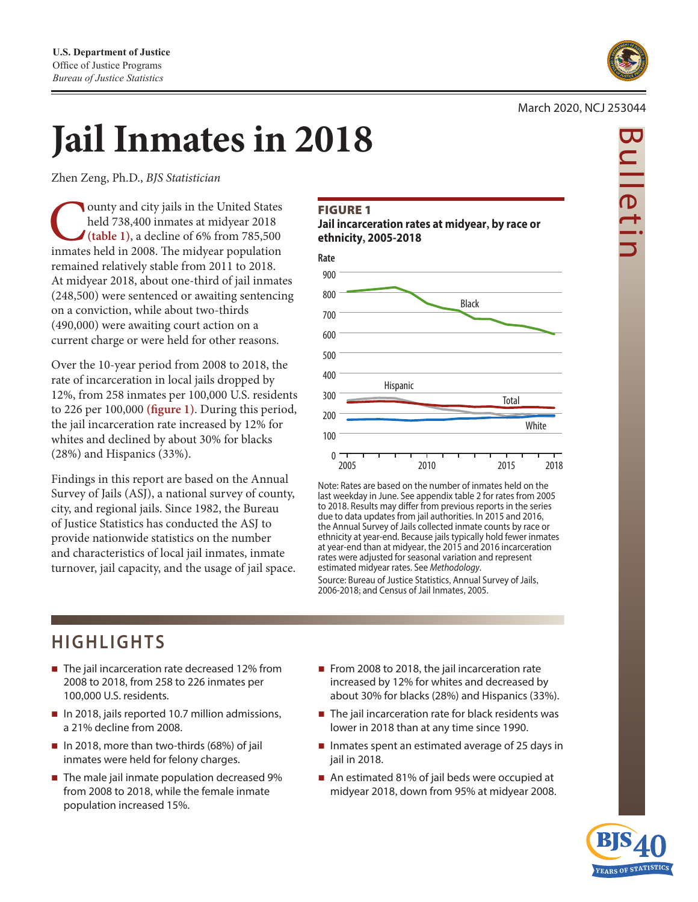

Bulletin

ulletir

#### March 2020, NCJ 253044

# **Jail Inmates in 2018**

Zhen Zeng, Ph.D., *BJS Statistician* 

ounty and city jails in the United States held 738,400 inmates at midyear 2018 (table 1), a decline of 6% from 785,500 inmates held in 2008. The midyear population held 738,400 inmates at midyear 2018 **(table 1)**, a decline of 6% from 785,500 remained relatively stable from 2011 to 2018. At midyear 2018, about one-third of jail inmates (248,500) were sentenced or awaiting sentencing on a conviction, while about two-thirds (490,000) were awaiting court action on a current charge or were held for other reasons.

Over the 10-year period from 2008 to 2018, the rate of incarceration in local jails dropped by 12%, from 258 inmates per 100,000 U.S. residents to 226 per 100,000 **(fgure 1)**. During this period, the jail incarceration rate increased by 12% for whites and declined by about 30% for blacks (28%) and Hispanics (33%).

Findings in this report are based on the Annual Survey of Jails (ASJ), a national survey of county, city, and regional jails. Since 1982, the Bureau of Justice Statistics has conducted the ASJ to provide nationwide statistics on the number and characteristics of local jail inmates, inmate turnover, jail capacity, and the usage of jail space.

#### FIGURE 1

**Jail incarceration rates at midyear, by race or ethnicity, 2005-2018** 



Note: Rates are based on the number of inmates held on the last weekday in June. See appendix table 2 for rates from 2005 to 2018. Results may difer from previous reports in the series due to data updates from jail authorities. In 2015 and 2016, the Annual Survey of Jails collected inmate counts by race or ethnicity at year-end. Because jails typically hold fewer inmates at year-end than at midyear, the 2015 and 2016 incarceration rates were adjusted for seasonal variation and represent estimated midyear rates. See *Methodology*. Source: Bureau of Justice Statistics, Annual Survey of Jails, 2006-2018; and Census of Jail Inmates, 2005.

# **HIGHLIGHTS**

- The jail incarceration rate decreased 12% from 2008 to 2018, from 258 to 226 inmates per 100,000 U.S. residents.
- In 2018, jails reported 10.7 million admissions, a 21% decline from 2008.
- In 2018, more than two-thirds (68%) of jail inmates were held for felony charges.
- The male jail inmate population decreased 9% from 2008 to 2018, while the female inmate population increased 15%.
- From 2008 to 2018, the jail incarceration rate increased by 12% for whites and decreased by about 30% for blacks (28%) and Hispanics (33%).
- The jail incarceration rate for black residents was lower in 2018 than at any time since 1990.
- Inmates spent an estimated average of 25 days in jail in 2018.
- An estimated 81% of jail beds were occupied at midyear 2018, down from 95% at midyear 2008.

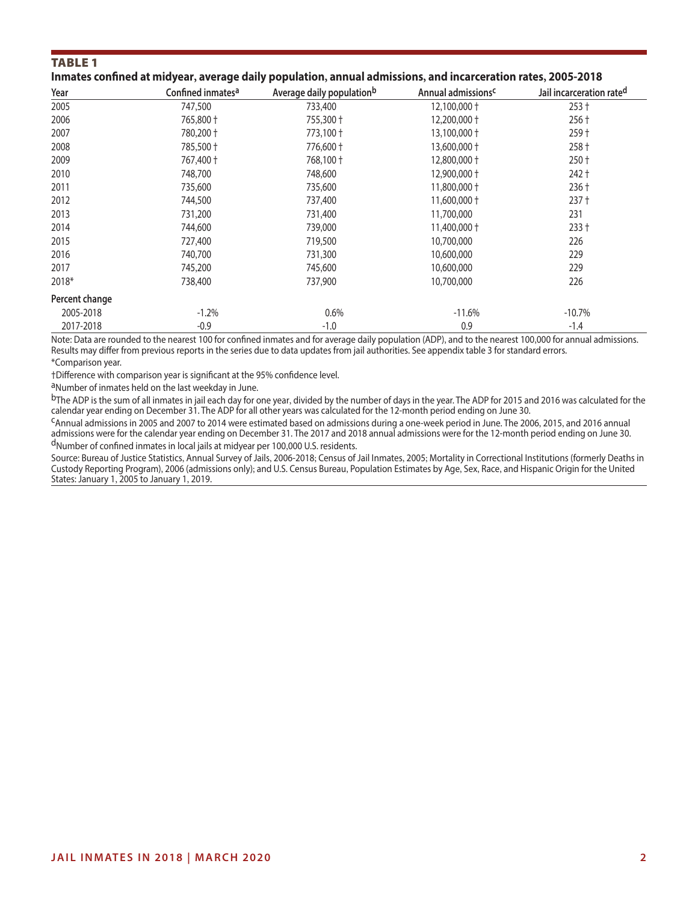#### **TABLE 1**

|  |  |  | Inmates confined at midyear, average daily population, annual admissions, and incarceration rates, 2005-2018 |
|--|--|--|--------------------------------------------------------------------------------------------------------------|
|--|--|--|--------------------------------------------------------------------------------------------------------------|

| Year           | Confined inmates <sup>a</sup> | Average daily population <sup>b</sup> | Annual admissions <sup>c</sup> | Jail incarceration rate <sup>d</sup> |
|----------------|-------------------------------|---------------------------------------|--------------------------------|--------------------------------------|
| 2005           | 747,500                       | 733,400                               | 12,100,000 +                   | $253 +$                              |
| 2006           | 765,800 +                     | 755,300 +                             | 12,200,000 +                   | $256 +$                              |
| 2007           | 780,200 +                     | 773,100 +                             | 13,100,000 +                   | $259 +$                              |
| 2008           | 785,500 +                     | 776,600 +                             | 13,600,000 +                   | 258 +                                |
| 2009           | 767,400 +                     | 768,100 +                             | 12,800,000 +                   | $250 +$                              |
| 2010           | 748,700                       | 748,600                               | 12,900,000 +                   | $242 +$                              |
| 2011           | 735,600                       | 735,600                               | 11,800,000 +                   | $236 +$                              |
| 2012           | 744,500                       | 737,400                               | 11,600,000 +                   | $237 +$                              |
| 2013           | 731,200                       | 731,400                               | 11,700,000                     | 231                                  |
| 2014           | 744,600                       | 739,000                               | 11,400,000 +                   | $233 +$                              |
| 2015           | 727,400                       | 719,500                               | 10,700,000                     | 226                                  |
| 2016           | 740,700                       | 731,300                               | 10,600,000                     | 229                                  |
| 2017           | 745,200                       | 745,600                               | 10,600,000                     | 229                                  |
| 2018*          | 738,400                       | 737,900                               | 10,700,000                     | 226                                  |
| Percent change |                               |                                       |                                |                                      |
| 2005-2018      | $-1.2%$                       | 0.6%                                  | $-11.6%$                       | $-10.7%$                             |
| 2017-2018      | $-0.9$                        | $-1.0$                                | 0.9                            | $-1.4$                               |

Note: Data are rounded to the nearest 100 for confined inmates and for average daily population (ADP), and to the nearest 100,000 for annual admissions. Results may differ from previous reports in the series due to data updates from jail authorities. See appendix table 3 for standard errors.

\*Comparison year.

†Difference with comparison year is significant at the 95% confidence level.

aNumber of inmates held on the last weekday in June.

bThe ADP is the sum of all inmates in jail each day for one year, divided by the number of days in the year. The ADP for 2015 and 2016 was calculated for the calendar year ending on December 31. The ADP for all other years was calculated for the 12-month period ending on June 30.

<sup>C</sup>Annual admissions in 2005 and 2007 to 2014 were estimated based on admissions during a one-week period in June. The 2006, 2015, and 2016 annual admissions were for the calendar year ending on December 31. The 2017 and 2018 annual admissions were for the 12-month period ending on June 30. dNumber of confined inmates in local jails at midyear per 100,000 U.S. residents.

Source: Bureau of Justice Statistics, Annual Survey of Jails, 2006-2018; Census of Jail Inmates, 2005; Mortality in Correctional Institutions (formerly Deaths in Custody Reporting Program), 2006 (admissions only); and U.S. Census Bureau, Population Estimates by Age, Sex, Race, and Hispanic Origin for the United States: January 1, 2005 to January 1, 2019.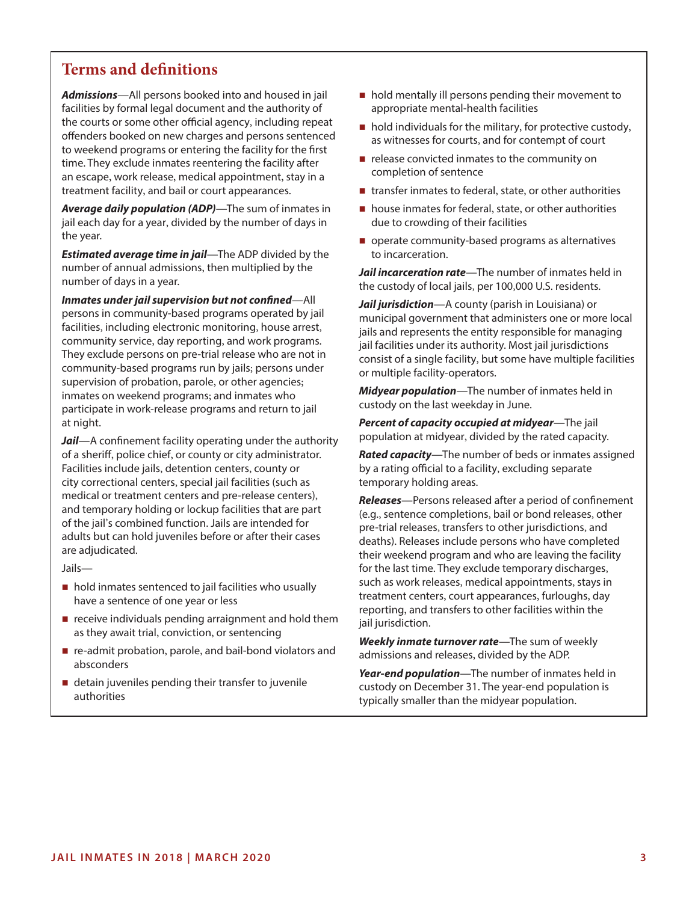# **Terms and definitions**

*Admissions*—All persons booked into and housed in jail facilities by formal legal document and the authority of the courts or some other official agency, including repeat offenders booked on new charges and persons sentenced to weekend programs or entering the facility for the first time. They exclude inmates reentering the facility after an escape, work release, medical appointment, stay in a treatment facility, and bail or court appearances.

*Average daily population (ADP)*—The sum of inmates in jail each day for a year, divided by the number of days in the year.

*Estimated average time in jail*—The ADP divided by the number of annual admissions, then multiplied by the number of days in a year.

*Inmates under jail supervision but not confined*—All persons in community-based programs operated by jail facilities, including electronic monitoring, house arrest, community service, day reporting, and work programs. They exclude persons on pre-trial release who are not in community-based programs run by jails; persons under supervision of probation, parole, or other agencies; inmates on weekend programs; and inmates who participate in work-release programs and return to jail at night.

*Jail*—A confinement facility operating under the authority of a sheriff, police chief, or county or city administrator. Facilities include jails, detention centers, county or city correctional centers, special jail facilities (such as medical or treatment centers and pre-release centers), and temporary holding or lockup facilities that are part of the jail's combined function. Jails are intended for adults but can hold juveniles before or after their cases are adjudicated.

Jails—

- hold inmates sentenced to jail facilities who usually have a sentence of one year or less
- $\blacksquare$  receive individuals pending arraignment and hold them as they await trial, conviction, or sentencing
- re-admit probation, parole, and bail-bond violators and absconders
- detain juveniles pending their transfer to juvenile authorities
- $\blacksquare$  hold mentally ill persons pending their movement to appropriate mental-health facilities
- $\blacksquare$  hold individuals for the military, for protective custody, as witnesses for courts, and for contempt of court
- $\blacksquare$  release convicted inmates to the community on completion of sentence
- $\blacksquare$  transfer inmates to federal, state, or other authorities
- house inmates for federal, state, or other authorities due to crowding of their facilities
- operate community-based programs as alternatives to incarceration.

*Jail incarceration rate*—The number of inmates held in the custody of local jails, per 100,000 U.S. residents.

*Jail jurisdiction*—A county (parish in Louisiana) or municipal government that administers one or more local jails and represents the entity responsible for managing jail facilities under its authority. Most jail jurisdictions consist of a single facility, but some have multiple facilities or multiple facility-operators.

*Midyear population*—The number of inmates held in custody on the last weekday in June.

*Percent of capacity occupied at midyear*—The jail population at midyear, divided by the rated capacity.

*Rated capacity*—The number of beds or inmates assigned by a rating official to a facility, excluding separate temporary holding areas.

*Releases*—Persons released after a period of confinement (e.g., sentence completions, bail or bond releases, other pre-trial releases, transfers to other jurisdictions, and deaths). Releases include persons who have completed their weekend program and who are leaving the facility for the last time. They exclude temporary discharges, such as work releases, medical appointments, stays in treatment centers, court appearances, furloughs, day reporting, and transfers to other facilities within the jail jurisdiction.

*Weekly inmate turnover rate*—The sum of weekly admissions and releases, divided by the ADP.

*Year-end population*—The number of inmates held in custody on December 31. The year-end population is typically smaller than the midyear population.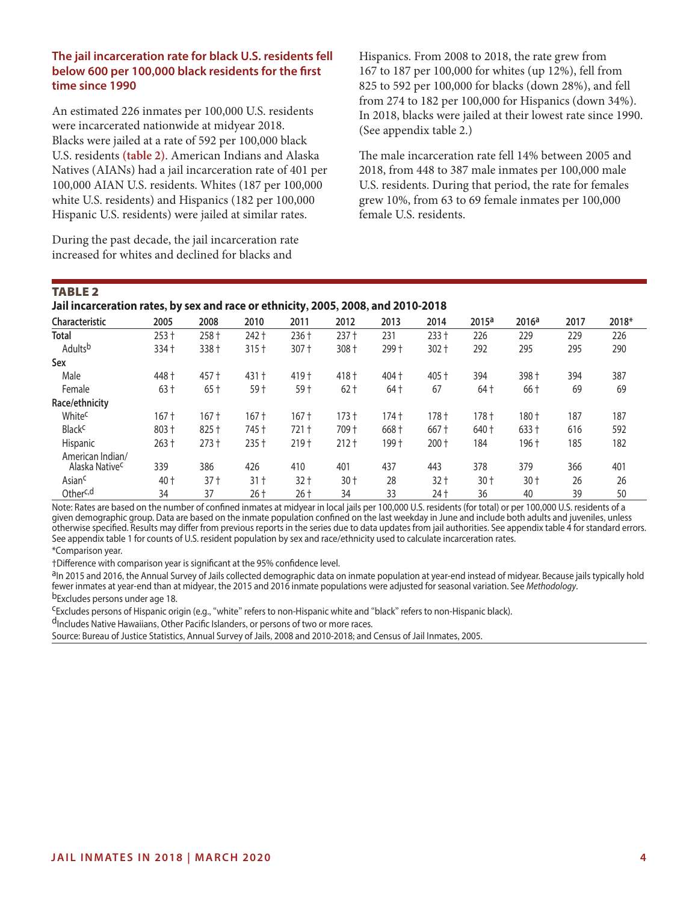#### **The jail incarceration rate for black U.S. residents fell below 600 per 100,000 black residents for the first time since 1990**

An estimated 226 inmates per 100,000 U.S. residents were incarcerated nationwide at midyear 2018. Blacks were jailed at a rate of 592 per 100,000 black U.S. residents **(table 2)**. American Indians and Alaska Natives (AIANs) had a jail incarceration rate of 401 per 100,000 AIAN U.S. residents. Whites (187 per 100,000 white U.S. residents) and Hispanics (182 per 100,000 Hispanic U.S. residents) were jailed at similar rates.

During the past decade, the jail incarceration rate increased for whites and declined for blacks and

Hispanics. From 2008 to 2018, the rate grew from 167 to 187 per 100,000 for whites (up 12%), fell from 825 to 592 per 100,000 for blacks (down 28%), and fell from 274 to 182 per 100,000 for Hispanics (down 34%). In 2018, blacks were jailed at their lowest rate since 1990. (See appendix table 2.)

The male incarceration rate fell 14% between 2005 and 2018, from 448 to 387 male inmates per 100,000 male U.S. residents. During that period, the rate for females grew 10%, from 63 to 69 female inmates per 100,000 female U.S. residents.

#### Table 2

**Jail incarceration rates, by sex and race or ethnicity, 2005, 2008, and 2010-2018**

|                                                |         |         |         |         |         |       | 2014    |                   |                   |      |       |
|------------------------------------------------|---------|---------|---------|---------|---------|-------|---------|-------------------|-------------------|------|-------|
| Characteristic                                 | 2005    | 2008    | 2010    | 2011    | 2012    | 2013  |         | 2015 <sup>a</sup> | 2016 <sup>a</sup> | 2017 | 2018* |
| <b>Total</b>                                   | $253 +$ | 258 +   | $242 +$ | 236+    | $237 +$ | 231   | $233 +$ | 226               | 229               | 229  | 226   |
| Adults <sup>b</sup>                            | 334 +   | 338 +   | $315 +$ | 307 +   | 308 +   | 299 + | $302 +$ | 292               | 295               | 295  | 290   |
| Sex                                            |         |         |         |         |         |       |         |                   |                   |      |       |
| Male                                           | 448 +   | 457 +   | $431 +$ | 419 +   | 418 +   | 404 + | 405 +   | 394               | 398 +             | 394  | 387   |
| Female                                         | $63+$   | $65+$   | 59 †    | 59 †    | $62+$   | 64†   | 67      | 64 t              | 66 †              | 69   | 69    |
| Race/ethnicity                                 |         |         |         |         |         |       |         |                   |                   |      |       |
| White <sup>c</sup>                             | $167 +$ | $167 +$ | $167 +$ | $167 +$ | $173 +$ | 174 t | $178 +$ | $178 +$           | 180 +             | 187  | 187   |
| <b>Black<sup>c</sup></b>                       | 803+    | 825 +   | 745 +   | $721 +$ | 709 +   | 668 + | $667 +$ | 640 +             | 633 +             | 616  | 592   |
| Hispanic                                       | $263 +$ | $273 +$ | $235 +$ | 219 †   | $212 +$ | 199†  | $200 +$ | 184               | 196 +             | 185  | 182   |
| American Indian/<br>Alaska Native <sup>c</sup> | 339     | 386     | 426     | 410     | 401     | 437   | 443     | 378               | 379               | 366  | 401   |
| Asian <sup>c</sup>                             | 40 t    | $37+$   | 31 t    | $32 +$  | $30+$   | 28    | $32 +$  | $30+$             | $30+$             | 26   | 26    |
| Other <sup>c,d</sup>                           | 34      | 37      | 26 +    | 26 †    | 34      | 33    | 24 t    | 36                | 40                | 39   | 50    |

Note: Rates are based on the number of confined inmates at midyear in local jails per 100,000 U.S. residents (for total) or per 100,000 U.S. residents of a given demographic group. Data are based on the inmate population confined on the last weekday in June and include both adults and juveniles, unless otherwise specified. Results may differ from previous reports in the series due to data updates from jail authorities. See appendix table 4 for standard errors. See appendix table 1 for counts of U.S. resident population by sex and race/ethnicity used to calculate incarceration rates.

#### \*Comparison year.

†Difference with comparison year is significant at the 95% confidence level.

aIn 2015 and 2016, the Annual Survey of Jails collected demographic data on inmate population at year-end instead of midyear. Because jails typically hold fewer inmates at year-end than at midyear, the 2015 and 2016 inmate populations were adjusted for seasonal variation. See *Methodology*.<br><sup>b</sup>Excludes persons under age 18.

cExcludes persons of Hispanic origin (e.g., "white" refers to non-Hispanic white and "black" refers to non-Hispanic black).

dIncludes Native Hawaiians, Other Pacific Islanders, or persons of two or more races.

Source: Bureau of Justice Statistics, Annual Survey of Jails, 2008 and 2010-2018; and Census of Jail Inmates, 2005.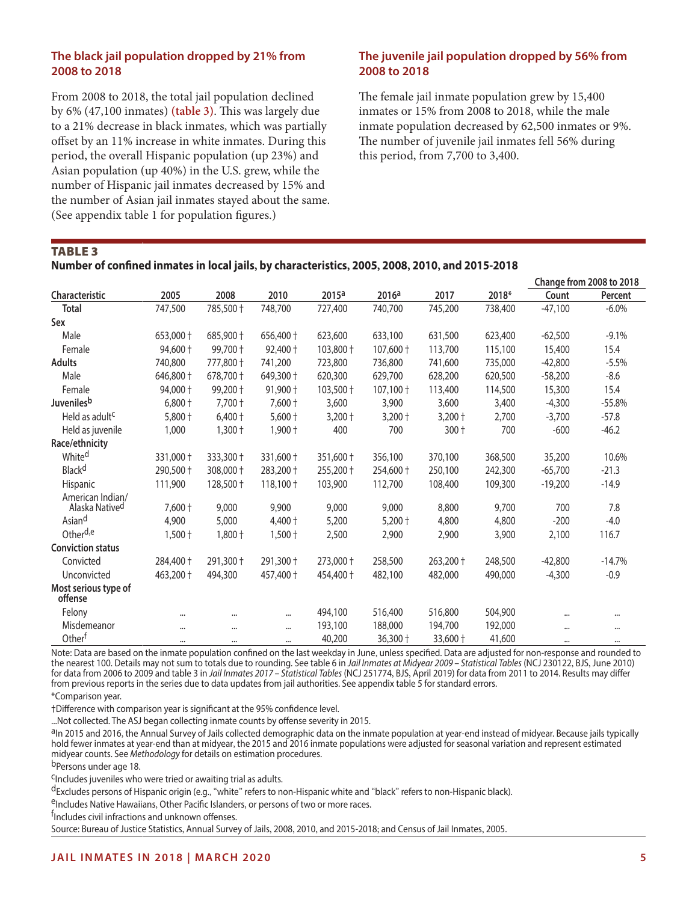#### **The black jail population dropped by 21% from 2008 to 2018**

From 2008 to 2018, the total jail population declined by 6% (47,100 inmates) **(table 3)**. This was largely due to a 21% decrease in black inmates, which was partially offset by an 11% increase in white inmates. During this period, the overall Hispanic population (up 23%) and Asian population (up 40%) in the U.S. grew, while the number of Hispanic jail inmates decreased by 15% and the number of Asian jail inmates stayed about the same. (See appendix table 1 for population figures.)

#### **The juvenile jail population dropped by 56% from 2008 to 2018**

The female jail inmate population grew by 15,400 inmates or 15% from 2008 to 2018, while the male inmate population decreased by 62,500 inmates or 9%. The number of juvenile jail inmates fell 56% during this period, from 7,700 to 3,400.

Table 3

#### **Number of confined inmates in local jails, by characteristics, 2005, 2008, 2010, and 2015-2018**

| 2015 <sup>a</sup><br>2005<br>2008<br>2010<br>2016 <sup>a</sup><br>2017<br>2018*<br>Count<br><b>Characteristic</b><br>Percent<br><b>Total</b><br>747,500<br>785,500 +<br>748,700<br>745,200<br>$-47,100$<br>$-6.0\%$<br>727,400<br>740,700<br>738,400<br>Sex<br>Male<br>653,000 +<br>685,900 +<br>656,400 +<br>633,100<br>631,500<br>623,400<br>$-62,500$<br>$-9.1%$<br>623,600<br>94,600 +<br>99,700 +<br>103,800 +<br>$107,600 +$<br>15.4<br>Female<br>92,400 +<br>113,700<br>115,100<br>15,400<br><b>Adults</b><br>740,800<br>777,800 +<br>741,200<br>723,800<br>736,800<br>$-42,800$<br>741,600<br>735,000<br>$-5.5%$<br>Male<br>646,800 +<br>678,700 +<br>649,300 +<br>620,300<br>629,700<br>628,200<br>620,500<br>$-58,200$<br>$-8.6$<br>94,000 +<br>99,200 +<br>91,900 +<br>103,500 +<br>107,100 +<br>15.4<br>Female<br>113,400<br>114,500<br>15,300<br>$6,800 +$<br>$7,700 +$<br>7,600 +<br>3,600<br>3,900<br>3,600<br>3,400<br>$-4,300$<br>$-55.8%$ | Change from 2008 to 2018 |
|-------------------------------------------------------------------------------------------------------------------------------------------------------------------------------------------------------------------------------------------------------------------------------------------------------------------------------------------------------------------------------------------------------------------------------------------------------------------------------------------------------------------------------------------------------------------------------------------------------------------------------------------------------------------------------------------------------------------------------------------------------------------------------------------------------------------------------------------------------------------------------------------------------------------------------------------------------------|--------------------------|
| Juvenilesb                                                                                                                                                                                                                                                                                                                                                                                                                                                                                                                                                                                                                                                                                                                                                                                                                                                                                                                                                  |                          |
|                                                                                                                                                                                                                                                                                                                                                                                                                                                                                                                                                                                                                                                                                                                                                                                                                                                                                                                                                             |                          |
|                                                                                                                                                                                                                                                                                                                                                                                                                                                                                                                                                                                                                                                                                                                                                                                                                                                                                                                                                             |                          |
|                                                                                                                                                                                                                                                                                                                                                                                                                                                                                                                                                                                                                                                                                                                                                                                                                                                                                                                                                             |                          |
|                                                                                                                                                                                                                                                                                                                                                                                                                                                                                                                                                                                                                                                                                                                                                                                                                                                                                                                                                             |                          |
|                                                                                                                                                                                                                                                                                                                                                                                                                                                                                                                                                                                                                                                                                                                                                                                                                                                                                                                                                             |                          |
|                                                                                                                                                                                                                                                                                                                                                                                                                                                                                                                                                                                                                                                                                                                                                                                                                                                                                                                                                             |                          |
|                                                                                                                                                                                                                                                                                                                                                                                                                                                                                                                                                                                                                                                                                                                                                                                                                                                                                                                                                             |                          |
|                                                                                                                                                                                                                                                                                                                                                                                                                                                                                                                                                                                                                                                                                                                                                                                                                                                                                                                                                             |                          |
| Held as adult <sup>c</sup><br>$5,800 +$<br>$6,400 +$<br>$5,600 +$<br>$3,200 +$<br>$3,200 +$<br>2,700<br>$3,200 +$<br>$-3,700$<br>$-57.8$                                                                                                                                                                                                                                                                                                                                                                                                                                                                                                                                                                                                                                                                                                                                                                                                                    |                          |
| 700<br>700<br>1,000<br>$1,300 +$<br>$1,900 +$<br>400<br>$300 +$<br>$-600$<br>$-46.2$<br>Held as juvenile                                                                                                                                                                                                                                                                                                                                                                                                                                                                                                                                                                                                                                                                                                                                                                                                                                                    |                          |
| Race/ethnicity                                                                                                                                                                                                                                                                                                                                                                                                                                                                                                                                                                                                                                                                                                                                                                                                                                                                                                                                              |                          |
| Whited<br>331,000 +<br>333,300 +<br>331,600 +<br>351,600 +<br>356,100<br>370,100<br>368,500<br>35,200<br>10.6%                                                                                                                                                                                                                                                                                                                                                                                                                                                                                                                                                                                                                                                                                                                                                                                                                                              |                          |
| Black <sup>d</sup><br>308,000 +<br>290,500 +<br>283,200 +<br>255,200 +<br>254,600 +<br>250,100<br>242,300<br>$-65,700$<br>$-21.3$                                                                                                                                                                                                                                                                                                                                                                                                                                                                                                                                                                                                                                                                                                                                                                                                                           |                          |
| Hispanic<br>111,900<br>128,500 +<br>$118,100 +$<br>103,900<br>112,700<br>108,400<br>109,300<br>$-19,200$<br>$-14.9$                                                                                                                                                                                                                                                                                                                                                                                                                                                                                                                                                                                                                                                                                                                                                                                                                                         |                          |
| American Indian/<br>Alaska Natived<br>7,600 +<br>9,000<br>9,900<br>9,000<br>9,000<br>8,800<br>9,700<br>700<br>7.8                                                                                                                                                                                                                                                                                                                                                                                                                                                                                                                                                                                                                                                                                                                                                                                                                                           |                          |
| Asiand<br>5,000<br>4,900<br>4,400 +<br>5,200<br>$5,200 +$<br>4,800<br>4,800<br>$-200$<br>$-4.0$                                                                                                                                                                                                                                                                                                                                                                                                                                                                                                                                                                                                                                                                                                                                                                                                                                                             |                          |
| Other <sup>d,e</sup><br>$1,800 +$<br>116.7<br>$1,500 +$<br>$1,500 +$<br>2,500<br>2,900<br>2,900<br>3,900<br>2,100                                                                                                                                                                                                                                                                                                                                                                                                                                                                                                                                                                                                                                                                                                                                                                                                                                           |                          |
| <b>Conviction status</b>                                                                                                                                                                                                                                                                                                                                                                                                                                                                                                                                                                                                                                                                                                                                                                                                                                                                                                                                    |                          |
| 291,300 +<br>Convicted<br>284,400 +<br>291,300 +<br>273,000 +<br>258,500<br>263,200 +<br>248,500<br>$-42,800$<br>$-14.7%$                                                                                                                                                                                                                                                                                                                                                                                                                                                                                                                                                                                                                                                                                                                                                                                                                                   |                          |
| $-0.9$<br>Unconvicted<br>463,200 +<br>494,300<br>457,400 +<br>454,400 +<br>482,100<br>482,000<br>490,000<br>$-4,300$                                                                                                                                                                                                                                                                                                                                                                                                                                                                                                                                                                                                                                                                                                                                                                                                                                        |                          |
| Most serious type of<br>offense                                                                                                                                                                                                                                                                                                                                                                                                                                                                                                                                                                                                                                                                                                                                                                                                                                                                                                                             |                          |
| Felony<br>494,100<br>516,400<br>516,800<br>504,900<br><br>$\cdots$<br>$\cdots$<br>$\cdots$<br>                                                                                                                                                                                                                                                                                                                                                                                                                                                                                                                                                                                                                                                                                                                                                                                                                                                              |                          |
| Misdemeanor<br>193,100<br>188,000<br>194,700<br>192,000<br>$\cdots$<br><br>$\cdots$<br><br>$\cdots$                                                                                                                                                                                                                                                                                                                                                                                                                                                                                                                                                                                                                                                                                                                                                                                                                                                         |                          |
| Otherf<br>40,200<br>36,300 +<br>33,600 +<br>41,600<br>$\cdots$<br><br>$\cdots$<br>$\cdots$<br>$\cdots$                                                                                                                                                                                                                                                                                                                                                                                                                                                                                                                                                                                                                                                                                                                                                                                                                                                      |                          |

Note: Data are based on the inmate population confined on the last weekday in June, unless specified. Data are adjusted for non-response and rounded to the nearest 100. Details may not sum to totals due to rounding. See table 6 in *Jail Inmates at Midyear 2009 – Statistical Tables* (NCJ 230122, BJS, June 2010) for data from 2006 to 2009 and table 3 in *Jail Inmates 2017 – Statistical Tables* (NCJ 251774, BJS, April 2019) for data from 2011 to 2014. Results may differ from previous reports in the series due to data updates from jail authorities. See appendix table 5 for standard errors.

\*Comparison year.

†Difference with comparison year is significant at the 95% confidence level.

...Not collected. The ASJ began collecting inmate counts by offense severity in 2015.

<sup>a</sup>In 2015 and 2016, the Annual Survey of Jails collected demographic data on the inmate population at year-end instead of midyear. Because jails typically hold fewer inmates at year-end than at midyear, the 2015 and 2016 inmate populations were adjusted for seasonal variation and represent estimated midyear counts. See *Methodology* for details on estimation procedures.

b<sub>Persons</sub> under age 18.

cIncludes juveniles who were tried or awaiting trial as adults.

<sup>d</sup>Excludes persons of Hispanic origin (e.g., "white" refers to non-Hispanic white and "black" refers to non-Hispanic black).<br><sup>e</sup>Includes Native Hawaiians, Other Pacific Islanders, or persons of two or more races.

f Includes civil infractions and unknown offenses.

Source: Bureau of Justice Statistics, Annual Survey of Jails, 2008, 2010, and 2015-2018; and Census of Jail Inmates, 2005.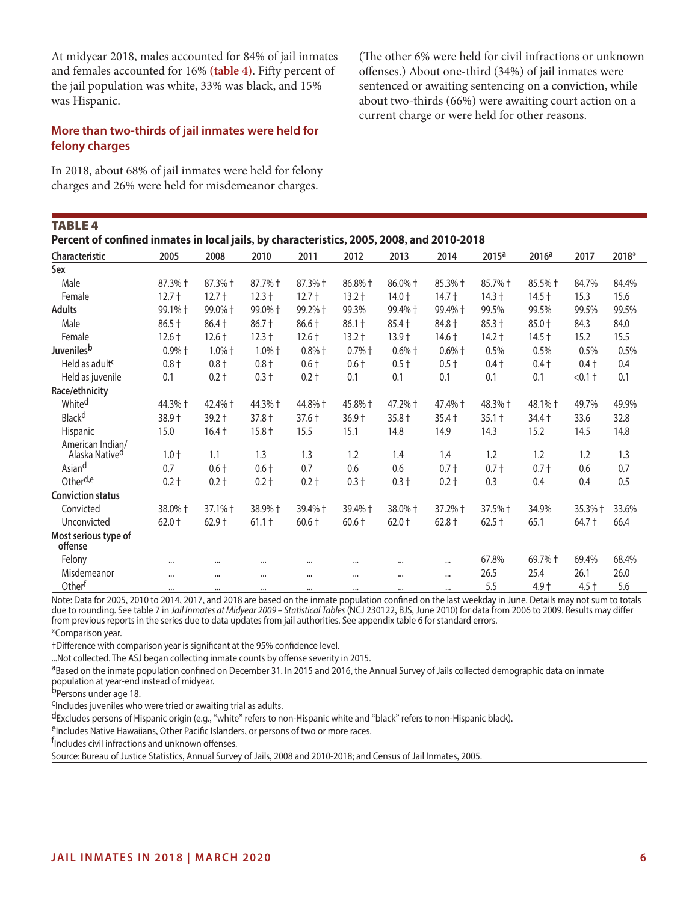At midyear 2018, males accounted for 84% of jail inmates and females accounted for 16% **(table 4)**. Fifty percent of the jail population was white, 33% was black, and 15% was Hispanic.

(The other 6% were held for civil infractions or unknown offenses.) About one-third (34%) of jail inmates were sentenced or awaiting sentencing on a conviction, while about two-thirds (66%) were awaiting court action on a current charge or were held for other reasons.

#### **More than two-thirds of jail inmates were held for felony charges**

In 2018, about 68% of jail inmates were held for felony charges and 26% were held for misdemeanor charges.

| Percent of confined inmates in local jails, by characteristics, 2005, 2008, and 2010-2018 |          |           |                  |                  |          |                  |          |                   |                   |           |       |
|-------------------------------------------------------------------------------------------|----------|-----------|------------------|------------------|----------|------------------|----------|-------------------|-------------------|-----------|-------|
| <b>Characteristic</b>                                                                     | 2005     | 2008      | 2010             | 2011             | 2012     | 2013             | 2014     | 2015 <sup>a</sup> | 2016 <sup>a</sup> | 2017      | 2018* |
| Sex                                                                                       |          |           |                  |                  |          |                  |          |                   |                   |           |       |
| Male                                                                                      | 87.3% +  | 87.3% +   | 87.7% +          | 87.3% +          | 86.8% +  | 86.0% +          | 85.3% +  | 85.7% +           | 85.5% +           | 84.7%     | 84.4% |
| Female                                                                                    | $12.7 +$ | $12.7 +$  | $12.3 +$         | $12.7 +$         | $13.2 +$ | $14.0 +$         | $14.7 +$ | $14.3 +$          | $14.5 +$          | 15.3      | 15.6  |
| Adults                                                                                    | 99.1% +  | 99.0% +   | 99.0% +          | 99.2%+           | 99.3%    | 99.4% +          | 99.4%+   | 99.5%             | 99.5%             | 99.5%     | 99.5% |
| Male                                                                                      | $86.5 +$ | 86.4 +    | $86.7 +$         | 86.6 +           | $86.1 +$ | $85.4 +$         | 84.8 +   | $85.3 +$          | 85.0 +            | 84.3      | 84.0  |
| Female                                                                                    | $12.6 +$ | $12.6 +$  | $12.3 +$         | $12.6 +$         | $13.2 +$ | $13.9 +$         | $14.6 +$ | $14.2 +$          | $14.5 +$          | 15.2      | 15.5  |
| Juveniles <sup>b</sup>                                                                    | $0.9%$ + | $1.0\%$ + | $1.0%$ $\dagger$ | $0.8%$ $\dagger$ | $0.7%$ † | $0.6%$ $\dagger$ | $0.6%$ † | 0.5%              | 0.5%              | 0.5%      | 0.5%  |
| Held as adult <sup>c</sup>                                                                | $0.8 +$  | $0.8 +$   | $0.8 +$          | $0.6 +$          | $0.6 +$  | $0.5+$           | $0.5 +$  | $0.4 +$           | $0.4 +$           | $0.4 +$   | 0.4   |
| Held as juvenile                                                                          | 0.1      | $0.2 +$   | $0.3 +$          | $0.2 +$          | 0.1      | 0.1              | 0.1      | 0.1               | 0.1               | $< 0.1 +$ | 0.1   |
| Race/ethnicity                                                                            |          |           |                  |                  |          |                  |          |                   |                   |           |       |
| Whited                                                                                    | 44.3% +  | 42.4% +   | 44.3% +          | 44.8% +          | 45.8% +  | 47.2% +          | 47.4% +  | 48.3% +           | 48.1% +           | 49.7%     | 49.9% |
| Black <sup>d</sup>                                                                        | 38.9 +   | $39.2 +$  | $37.8 +$         | $37.6 +$         | $36.9 +$ | $35.8 +$         | $35.4 +$ | $35.1 +$          | $34.4 +$          | 33.6      | 32.8  |
| Hispanic                                                                                  | 15.0     | $16.4 +$  | $15.8 +$         | 15.5             | 15.1     | 14.8             | 14.9     | 14.3              | 15.2              | 14.5      | 14.8  |
| American Indian/                                                                          |          |           |                  |                  |          |                  |          |                   |                   |           |       |
| Alaska Native <sup>d</sup>                                                                | $1.0 +$  | 1.1       | 1.3              | 1.3              | 1.2      | 1.4              | 1.4      | 1.2               | 1.2               | 1.2       | 1.3   |
| Asiand                                                                                    | 0.7      | $0.6 +$   | $0.6 +$          | 0.7              | 0.6      | 0.6              | $0.7 +$  | $0.7 +$           | $0.7 +$           | 0.6       | 0.7   |
| Other <sup>d,e</sup>                                                                      | $0.2 +$  | $0.2 +$   | $0.2 +$          | $0.2 +$          | $0.3 +$  | $0.3 +$          | $0.2 +$  | 0.3               | 0.4               | 0.4       | 0.5   |
| <b>Conviction status</b>                                                                  |          |           |                  |                  |          |                  |          |                   |                   |           |       |
| Convicted                                                                                 | 38.0% +  | 37.1% +   | 38.9% +          | 39.4% +          | 39.4% +  | 38.0% +          | 37.2% +  | 37.5% +           | 34.9%             | 35.3% +   | 33.6% |
| Unconvicted                                                                               | $62.0 +$ | $62.9 +$  | $61.1 +$         | $60.6 +$         | $60.6 +$ | $62.0 +$         | $62.8 +$ | $62.5 +$          | 65.1              | $64.7 +$  | 66.4  |
| Most serious type of<br>offense                                                           |          |           |                  |                  |          |                  |          |                   |                   |           |       |
| Felony                                                                                    | $\cdots$ |           |                  | $\cdots$         | $\cdots$ | $\cdots$         | $\cdots$ | 67.8%             | 69.7% +           | 69.4%     | 68.4% |
| Misdemeanor                                                                               | $\cdots$ |           |                  | $\cdots$         |          | $\cdots$         | $\cdots$ | 26.5              | 25.4              | 26.1      | 26.0  |
| Otherf                                                                                    | $\cdots$ | $\cdots$  | $\cdots$         | $\cdots$         | $\cdots$ | $\cdots$         | $\cdots$ | 5.5               | $4.9 +$           | $4.5 +$   | 5.6   |

Note: Data for 2005, 2010 to 2014, 2017, and 2018 are based on the inmate population confined on the last weekday in June. Details may not sum to totals due to rounding. See table 7 in *Jail Inmates at Midyear 2009 – Statistical Tables* (NCJ 230122, BJS, June 2010) for data from 2006 to 2009. Results may differ from previous reports in the series due to data updates from jail authorities. See appendix table 6 for standard errors.

\*Comparison year.

†Difference with comparison year is significant at the 95% confidence level.

...Not collected. The ASJ began collecting inmate counts by offense severity in 2015.

aBased on the inmate population confined on December 31. In 2015 and 2016, the Annual Survey of Jails collected demographic data on inmate population at year-end instead of midyear.

b<sub>Persons</sub> under age 18.

cIncludes juveniles who were tried or awaiting trial as adults.

<sup>d</sup>Excludes persons of Hispanic origin (e.g., "white" refers to non-Hispanic white and "black" refers to non-Hispanic black).<br><sup>e</sup>Includes Native Hawaiians, Other Pacific Islanders, or persons of two or more races.

f Includes civil infractions and unknown offenses.

Source: Bureau of Justice Statistics, Annual Survey of Jails, 2008 and 2010-2018; and Census of Jail Inmates, 2005.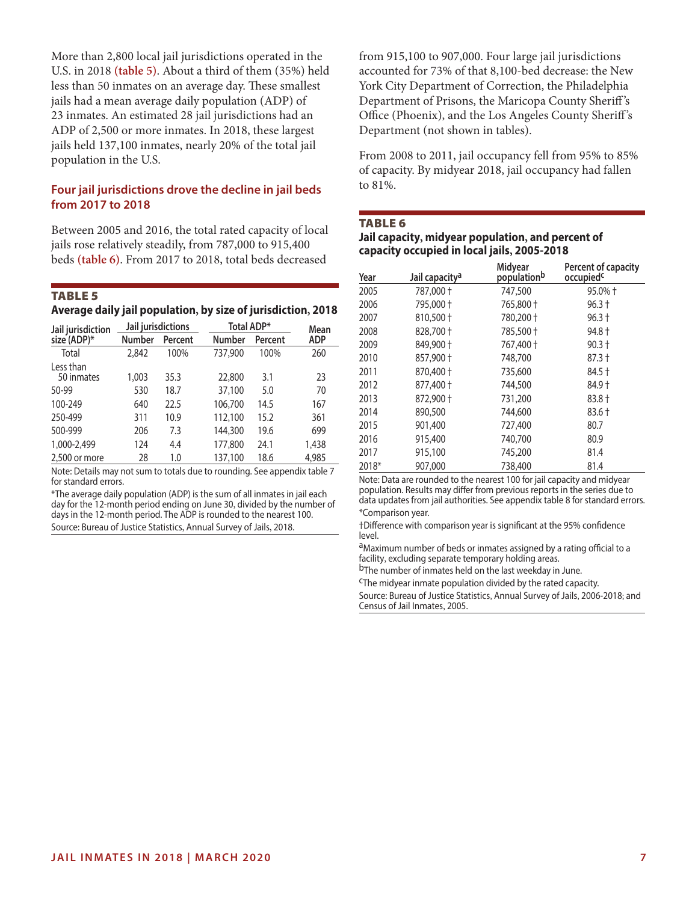More than 2,800 local jail jurisdictions operated in the U.S. in 2018 **(table 5)**. About a third of them (35%) held less than 50 inmates on an average day. These smallest jails had a mean average daily population (ADP) of 23 inmates. An estimated 28 jail jurisdictions had an ADP of 2,500 or more inmates. In 2018, these largest jails held 137,100 inmates, nearly 20% of the total jail population in the U.S.

#### **Four jail jurisdictions drove the decline in jail beds from 2017 to 2018**

Between 2005 and 2016, the total rated capacity of local jails rose relatively steadily, from 787,000 to 915,400 beds **(table 6)**. From 2017 to 2018, total beds decreased

#### Table 5

**Average daily jail population, by size of jurisdiction, 2018**

| Jail jurisdiction       | Jail jurisdictions |         |               | Total ADP* |                    |  |
|-------------------------|--------------------|---------|---------------|------------|--------------------|--|
| size (ADP)*             | Number             | Percent | <b>Number</b> | Percent    | Mean<br><b>ADP</b> |  |
| Total                   | 2,842              | 100%    | 737,900       | 100%       | 260                |  |
| Less than<br>50 inmates | 1,003              | 35.3    | 22,800        | 3.1        | 23                 |  |
| 50-99                   | 530                | 18.7    | 37,100        | 5.0        | 70                 |  |
| 100-249                 | 640                | 22.5    | 106,700       | 14.5       | 167                |  |
| 250-499                 | 311                | 10.9    | 112,100       | 15.2       | 361                |  |
| 500-999                 | 206                | 7.3     | 144,300       | 19.6       | 699                |  |
| 1,000-2,499             | 124                | 4.4     | 177,800       | 24.1       | 1,438              |  |
| 2,500 or more           | 28                 | 1.0     | 137,100       | 18.6       | 4,985              |  |

Note: Details may not sum to totals due to rounding. See appendix table 7 for standard errors.

\*The average daily population (ADP) is the sum of all inmates in jail each day for the 12-month period ending on June 30, divided by the number of days in the 12-month period. The ADP is rounded to the nearest 100. Source: Bureau of Justice Statistics, Annual Survey of Jails, 2018.

from 915,100 to 907,000. Four large jail jurisdictions accounted for 73% of that 8,100-bed decrease: the New York City Department of Correction, the Philadelphia Department of Prisons, the Maricopa County Sheriff 's Office (Phoenix), and the Los Angeles County Sheriff 's Department (not shown in tables).

From 2008 to 2011, jail occupancy fell from 95% to 85% of capacity. By midyear 2018, jail occupancy had fallen to 81%.

#### **TABLE 6**

#### **Jail capacity, midyear population, and percent of capacity occupied in local jails, 2005-2018**

| Year  | Jail capacity <sup>a</sup> | Midyear<br>populationb | Percent of capacity<br>occupied <sup>c</sup> |
|-------|----------------------------|------------------------|----------------------------------------------|
| 2005  | 787,000 +                  | 747,500                | 95.0% +                                      |
| 2006  | 795,000 +                  | 765,800 +              | $96.3 +$                                     |
| 2007  | 810,500 +                  | 780,200 +              | $96.3 +$                                     |
| 2008  | 828,700 +                  | 785,500 +              | 94.8 +                                       |
| 2009  | 849,900 +                  | 767,400 +              | $90.3 +$                                     |
| 2010  | 857,900 +                  | 748,700                | $87.3 +$                                     |
| 2011  | 870,400 +                  | 735,600                | 84.5 +                                       |
| 2012  | 877,400 +                  | 744,500                | 84.9 +                                       |
| 2013  | 872,900 +                  | 731,200                | $83.8 +$                                     |
| 2014  | 890,500                    | 744,600                | $83.6 +$                                     |
| 2015  | 901,400                    | 727,400                | 80.7                                         |
| 2016  | 915,400                    | 740,700                | 80.9                                         |
| 2017  | 915,100                    | 745,200                | 81.4                                         |
| 2018* | 907,000                    | 738,400                | 81.4                                         |

Note: Data are rounded to the nearest 100 for jail capacity and midyear population. Results may differ from previous reports in the series due to data updates from jail authorities. See appendix table 8 for standard errors. \*Comparison year.

†Difference with comparison year is significant at the 95% confidence level.

aMaximum number of beds or inmates assigned by a rating official to a facility, excluding separate temporary holding areas.

bThe number of inmates held on the last weekday in June.

cThe midyear inmate population divided by the rated capacity.

Source: Bureau of Justice Statistics, Annual Survey of Jails, 2006-2018; and Census of Jail Inmates, 2005.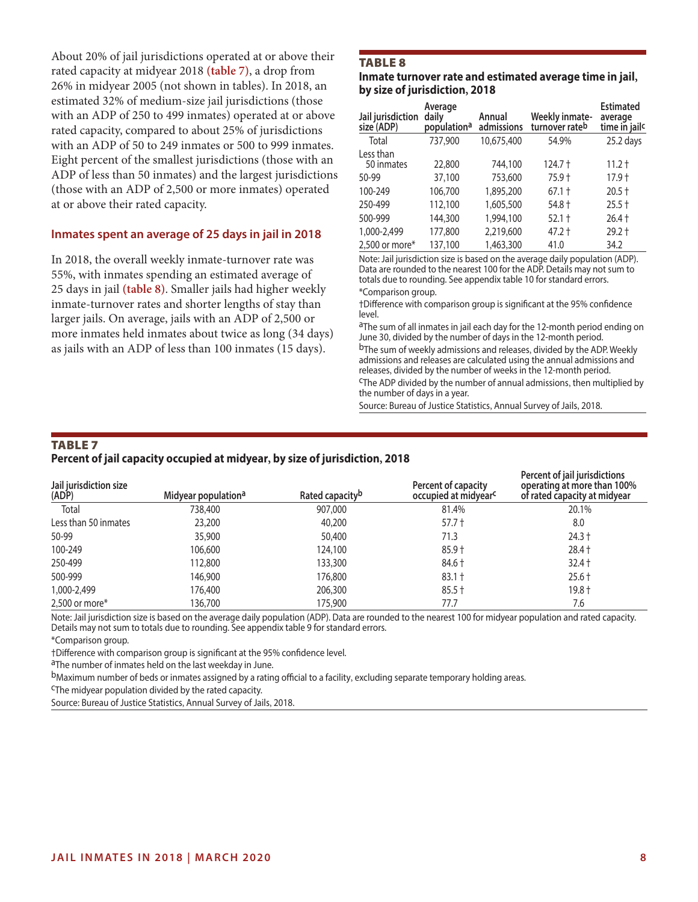About 20% of jail jurisdictions operated at or above their rated capacity at midyear 2018 **(table 7)**, a drop from 26% in midyear 2005 (not shown in tables). In 2018, an estimated 32% of medium-size jail jurisdictions (those with an ADP of 250 to 499 inmates) operated at or above rated capacity, compared to about 25% of jurisdictions with an ADP of 50 to 249 inmates or 500 to 999 inmates. Eight percent of the smallest jurisdictions (those with an ADP of less than 50 inmates) and the largest jurisdictions (those with an ADP of 2,500 or more inmates) operated at or above their rated capacity.

#### **Inmates spent an average of 25 days in jail in 2018**

In 2018, the overall weekly inmate-turnover rate was 55%, with inmates spending an estimated average of 25 days in jail **(table 8)**. Smaller jails had higher weekly inmate-turnover rates and shorter lengths of stay than larger jails. On average, jails with an ADP of 2,500 or more inmates held inmates about twice as long (34 days) as jails with an ADP of less than 100 inmates (15 days).

#### **TABLE 8**

**Inmate turnover rate and estimated average time in jail, by size of jurisdiction, 2018**

| Jail jurisdiction<br>size (ADP) | Average<br>daily<br>population <sup>a</sup> | Annual<br>admissions | Weekly inmate-<br>turnover rateb | <b>Estimated</b><br>average<br>time in jailc |
|---------------------------------|---------------------------------------------|----------------------|----------------------------------|----------------------------------------------|
| Total                           | 737,900                                     | 10,675,400           | 54.9%                            | 25.2 days                                    |
| Less than<br>50 inmates         | 22,800                                      | 744,100              | 124.7 †                          | $11.2 +$                                     |
| 50-99                           | 37,100                                      | 753,600              | 75.9 t                           | 17.9 t                                       |
| 100-249                         | 106,700                                     | 1,895,200            | $67.1 +$                         | $20.5 +$                                     |
| 250-499                         | 112,100                                     | 1,605,500            | $54.8 +$                         | $25.5 +$                                     |
| 500-999                         | 144,300                                     | 1,994,100            | $52.1 +$                         | $26.4 +$                                     |
| 1,000-2,499                     | 177,800                                     | 2,219,600            | 47.2 +                           | $29.2 +$                                     |
| 2,500 or more $*$               | 137,100                                     | 1,463,300            | 41.0                             | 34.2                                         |

Note: Jail jurisdiction size is based on the average daily population (ADP). Data are rounded to the nearest 100 for the ADP. Details may not sum to totals due to rounding. See appendix table 10 for standard errors. \*Comparison group.

†Difference with comparison group is significant at the 95% confidence level.

aThe sum of all inmates in jail each day for the 12-month period ending on June 30, divided by the number of days in the 12-month period.

b<sub>The sum of weekly admissions and releases, divided by the ADP. Weekly</sub> admissions and releases are calculated using the annual admissions and releases, divided by the number of weeks in the 12-month period.<br><sup>C</sup>The ADP divided by the number of annual admissions, then multiplied by the number of days in a year.

Source: Bureau of Justice Statistics, Annual Survey of Jails, 2018.

#### **TABLE 7 Percent of jail capacity occupied at midyear, by size of jurisdiction, 2018**

| Jail jurisdiction size<br>(ADP) | Midyear population <sup>a</sup> | Rated capacity <sup>b</sup> | Percent of capacity<br>occupied at midyear <sup>c</sup> | Percent of jail jurisdictions<br>operating at more than 100%<br>of rated capacity at midyear |
|---------------------------------|---------------------------------|-----------------------------|---------------------------------------------------------|----------------------------------------------------------------------------------------------|
| Total                           | 738,400                         | 907,000                     | 81.4%                                                   | 20.1%                                                                                        |
| Less than 50 inmates            | 23,200                          | 40,200                      | 57.7 <sup>†</sup>                                       | 8.0                                                                                          |
| 50-99                           | 35,900                          | 50,400                      | 71.3                                                    | $24.3 +$                                                                                     |
| 100-249                         | 106,600                         | 124,100                     | $85.9 +$                                                | $28.4 +$                                                                                     |
| 250-499                         | 112,800                         | 133,300                     | 84.6 +                                                  | $32.4 +$                                                                                     |
| 500-999                         | 146,900                         | 176,800                     | $83.1 +$                                                | $25.6 +$                                                                                     |
| 1,000-2,499                     | 176,400                         | 206,300                     | $85.5 +$                                                | $19.8 +$                                                                                     |
| 2,500 or more $*$               | 136,700                         | 175,900                     | 77.7                                                    | 7.6                                                                                          |

Note: Jail jurisdiction size is based on the average daily population (ADP). Data are rounded to the nearest 100 for midyear population and rated capacity. Details may not sum to totals due to rounding. See appendix table 9 for standard errors.

\*Comparison group.

†Difference with comparison group is significant at the 95% confidence level.

aThe number of inmates held on the last weekday in June.

<sup>b</sup>Maximum number of beds or inmates assigned by a rating official to a facility, excluding separate temporary holding areas.<br><sup>C</sup>The midyear population divided by the rated capacity.

Source: Bureau of Justice Statistics, Annual Survey of Jails, 2018.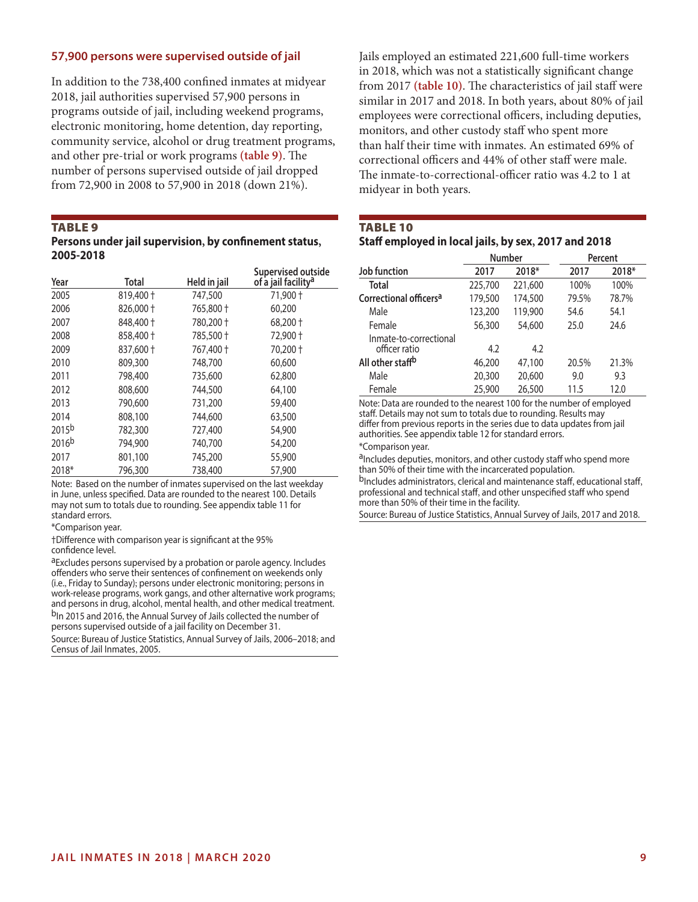#### **57,900 persons were supervised outside of jail**

In addition to the 738,400 confined inmates at midyear 2018, jail authorities supervised 57,900 persons in programs outside of jail, including weekend programs, electronic monitoring, home detention, day reporting, community service, alcohol or drug treatment programs, and other pre-trial or work programs **(table 9)**. The number of persons supervised outside of jail dropped from 72,900 in 2008 to 57,900 in 2018 (down 21%).

#### **TABLE 9**

| Persons under jail supervision, by confinement status, |  |
|--------------------------------------------------------|--|
| 2005-2018                                              |  |

| Year              | Total     | Held in jail | Supervised outside<br>of a jail facility <sup>a</sup> |
|-------------------|-----------|--------------|-------------------------------------------------------|
| 2005              | 819,400 + | 747,500      | 71,900 +                                              |
| 2006              | 826,000 + | 765,800 +    | 60,200                                                |
| 2007              | 848,400 + | 780,200 +    | $68,200 +$                                            |
| 2008              | 858,400 + | 785,500 +    | 72,900 +                                              |
| 2009              | 837,600 + | 767,400 +    | 70,200 +                                              |
| 2010              | 809,300   | 748,700      | 60,600                                                |
| 2011              | 798,400   | 735,600      | 62,800                                                |
| 2012              | 808,600   | 744,500      | 64,100                                                |
| 2013              | 790,600   | 731,200      | 59,400                                                |
| 2014              | 808,100   | 744,600      | 63,500                                                |
| 2015 <sub>b</sub> | 782,300   | 727,400      | 54,900                                                |
| 2016 <sub>b</sub> | 794,900   | 740,700      | 54,200                                                |
| 2017              | 801,100   | 745,200      | 55,900                                                |
| 2018*             | 796,300   | 738,400      | 57,900                                                |

Note: Based on the number of inmates supervised on the last weekday in June, unless specified. Data are rounded to the nearest 100. Details may not sum to totals due to rounding. See appendix table 11 for standard errors.

\*Comparison year.

†Difference with comparison year is significant at the 95% confidence level.

aExcludes persons supervised by a probation or parole agency. Includes offenders who serve their sentences of confinement on weekends only (i.e., Friday to Sunday); persons under electronic monitoring; persons in work-release programs, work gangs, and other alternative work programs; and persons in drug, alcohol, mental health, and other medical treatment. b<sub>In</sub> 2015 and 2016, the Annual Survey of Jails collected the number of persons supervised outside of a jail facility on December 31.

Source: Bureau of Justice Statistics, Annual Survey of Jails, 2006–2018; and Census of Jail Inmates, 2005.

Jails employed an estimated 221,600 full-time workers in 2018, which was not a statistically significant change from 2017 **(table 10)**. The characteristics of jail staff were similar in 2017 and 2018. In both years, about 80% of jail employees were correctional officers, including deputies, monitors, and other custody staff who spent more than half their time with inmates. An estimated 69% of correctional officers and 44% of other staff were male. The inmate-to-correctional-officer ratio was 4.2 to 1 at midyear in both years.

# **TABLE 10 Staff employed in local jails, by sex, 2017 and 2018**

|                                         | Number  |         |       | Percent |
|-----------------------------------------|---------|---------|-------|---------|
| Job function                            | 2017    | 2018*   | 2017  | 2018*   |
| Total                                   | 225,700 | 221,600 | 100%  | 100%    |
| Correctional officers <sup>a</sup>      | 179,500 | 174,500 | 79.5% | 78.7%   |
| Male                                    | 123,200 | 119,900 | 54.6  | 54.1    |
| Female                                  | 56,300  | 54,600  | 25.0  | 24.6    |
| Inmate-to-correctional<br>officer ratio | 4.2     | 4.2     |       |         |
| All other staff <sup>b</sup>            | 46,200  | 47,100  | 20.5% | 21.3%   |
| Male                                    | 20,300  | 20,600  | 9.0   | 9.3     |
| Female                                  | 25,900  | 26,500  | 11.5  | 12.0    |

Note: Data are rounded to the nearest 100 for the number of employed staff. Details may not sum to totals due to rounding. Results may differ from previous reports in the series due to data updates from jail authorities. See appendix table 12 for standard errors.

\*Comparison year.

aIncludes deputies, monitors, and other custody staff who spend more than 50% of their time with the incarcerated population.

b<sub>Includes</sub> administrators, clerical and maintenance staff, educational staff, professional and technical staff, and other unspecified staff who spend more than 50% of their time in the facility.

Source: Bureau of Justice Statistics, Annual Survey of Jails, 2017 and 2018.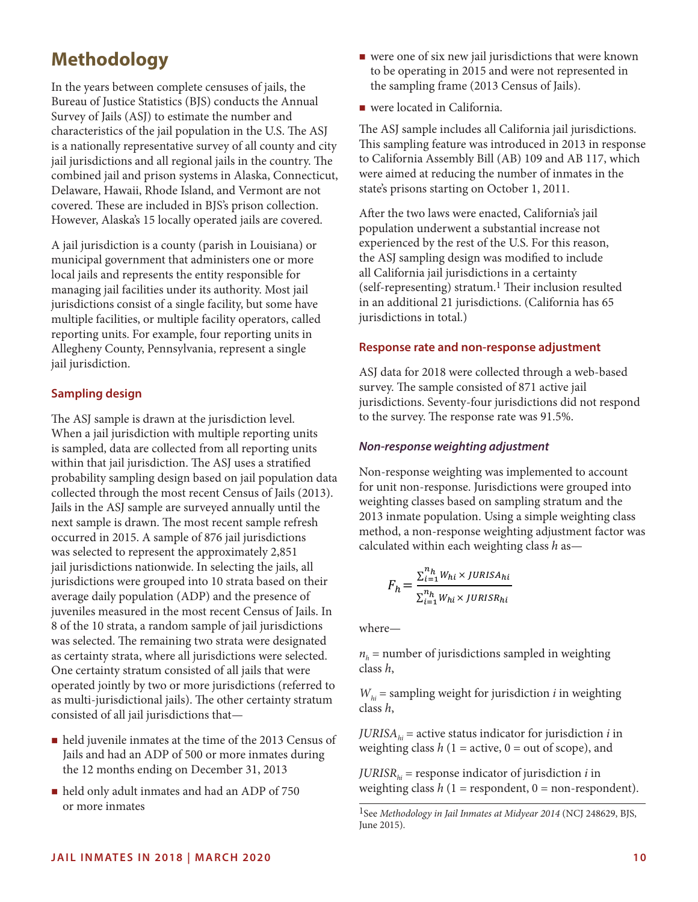# **Methodology**

In the years between complete censuses of jails, the Bureau of Justice Statistics (BJS) conducts the Annual Survey of Jails (ASJ) to estimate the number and characteristics of the jail population in the U.S. The ASJ is a nationally representative survey of all county and city jail jurisdictions and all regional jails in the country. The combined jail and prison systems in Alaska, Connecticut, Delaware, Hawaii, Rhode Island, and Vermont are not covered. These are included in BJS's prison collection. However, Alaska's 15 locally operated jails are covered.

A jail jurisdiction is a county (parish in Louisiana) or municipal government that administers one or more local jails and represents the entity responsible for managing jail facilities under its authority. Most jail jurisdictions consist of a single facility, but some have multiple facilities, or multiple facility operators, called reporting units. For example, four reporting units in Allegheny County, Pennsylvania, represent a single jail jurisdiction.

# **Sampling design**

The ASJ sample is drawn at the jurisdiction level. When a jail jurisdiction with multiple reporting units is sampled, data are collected from all reporting units within that jail jurisdiction. The ASJ uses a stratified probability sampling design based on jail population data collected through the most recent Census of Jails (2013). Jails in the ASJ sample are surveyed annually until the next sample is drawn. The most recent sample refresh occurred in 2015. A sample of 876 jail jurisdictions was selected to represent the approximately 2,851 jail jurisdictions nationwide. In selecting the jails, all jurisdictions were grouped into 10 strata based on their average daily population (ADP) and the presence of juveniles measured in the most recent Census of Jails. In 8 of the 10 strata, a random sample of jail jurisdictions was selected. The remaining two strata were designated as certainty strata, where all jurisdictions were selected. One certainty stratum consisted of all jails that were operated jointly by two or more jurisdictions (referred to as multi-jurisdictional jails). The other certainty stratum consisted of all jail jurisdictions that—

- held juvenile inmates at the time of the 2013 Census of Jails and had an ADP of 500 or more inmates during the 12 months ending on December 31, 2013
- held only adult inmates and had an ADP of 750 or more inmates
- $\blacksquare$  were one of six new jail jurisdictions that were known to be operating in 2015 and were not represented in the sampling frame (2013 Census of Jails).
- were located in California.

The ASJ sample includes all California jail jurisdictions. This sampling feature was introduced in 2013 in response to California Assembly Bill (AB) 109 and AB 117, which were aimed at reducing the number of inmates in the state's prisons starting on October 1, 2011.

After the two laws were enacted, California's jail population underwent a substantial increase not experienced by the rest of the U.S. For this reason, the ASJ sampling design was modified to include all California jail jurisdictions in a certainty  $(self-representing)$  stratum.<sup>1</sup> Their inclusion resulted in an additional 21 jurisdictions. (California has 65 jurisdictions in total.)

# **Response rate and non-response adjustment**

ASJ data for 2018 were collected through a web-based survey. The sample consisted of 871 active jail jurisdictions. Seventy-four jurisdictions did not respond to the survey. The response rate was 91.5%.

#### *Non-response weighting adjustment*

Non-response weighting was implemented to account for unit non-response. Jurisdictions were grouped into weighting classes based on sampling stratum and the 2013 inmate population. Using a simple weighting class method, a non-response weighting adjustment factor was calculated within each weighting class *h* as—

$$
F_h = \frac{\sum_{i=1}^{n_h} W_{hi} \times JURISA_{hi}}{\sum_{i=1}^{n_h} W_{hi} \times JURISR_{hi}}
$$

where—

 $n<sub>h</sub>$  = number of jurisdictions sampled in weighting class *h*,

 $W_{hi}$  = sampling weight for jurisdiction *i* in weighting class *h*,

*JURISA<sub>hi</sub>* = active status indicator for jurisdiction *i* in weighting class  $h(1 = \text{active}, 0 = \text{out of scope})$ , and

*JURISR*<sub>*hi*</sub> = response indicator of jurisdiction *i* in weighting class  $h(1)$  = respondent,  $0$  = non-respondent).

<sup>1</sup>See *Methodology in Jail Inmates at Midyear 2014* (NCJ 248629, BJS, June 2015).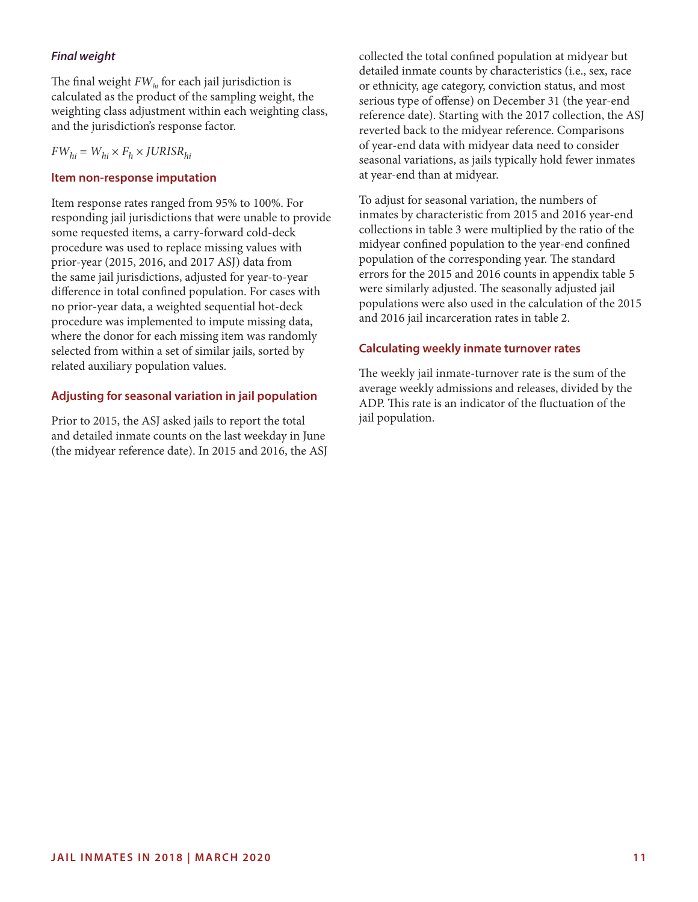# *Final weight*

The final weight  $FW<sub>hi</sub>$  for each jail jurisdiction is calculated as the product of the sampling weight, the weighting class adjustment within each weighting class, and the jurisdiction's response factor.

# $FW_{hi} = W_{hi} \times F_h \times JURISR_{hi}$

#### **Item non-response imputation**

Item response rates ranged from 95% to 100%. For responding jail jurisdictions that were unable to provide some requested items, a carry-forward cold-deck procedure was used to replace missing values with prior-year (2015, 2016, and 2017 ASJ) data from the same jail jurisdictions, adjusted for year-to-year difference in total confined population. For cases with no prior-year data, a weighted sequential hot-deck procedure was implemented to impute missing data, where the donor for each missing item was randomly selected from within a set of similar jails, sorted by related auxiliary population values.

# **Adjusting for seasonal variation in jail population**

Prior to 2015, the ASJ asked jails to report the total and detailed inmate counts on the last weekday in June (the midyear reference date). In 2015 and 2016, the ASJ collected the total confined population at midyear but detailed inmate counts by characteristics (i.e., sex, race or ethnicity, age category, conviction status, and most serious type of offense) on December 31 (the year-end reference date). Starting with the 2017 collection, the ASJ reverted back to the midyear reference. Comparisons of year-end data with midyear data need to consider seasonal variations, as jails typically hold fewer inmates at year-end than at midyear.

To adjust for seasonal variation, the numbers of inmates by characteristic from 2015 and 2016 year-end collections in table 3 were multiplied by the ratio of the midyear confined population to the year-end confined population of the corresponding year. The standard errors for the 2015 and 2016 counts in appendix table 5 were similarly adjusted. The seasonally adjusted jail populations were also used in the calculation of the 2015 and 2016 jail incarceration rates in table 2.

# **Calculating weekly inmate turnover rates**

The weekly jail inmate-turnover rate is the sum of the average weekly admissions and releases, divided by the ADP. This rate is an indicator of the fluctuation of the jail population.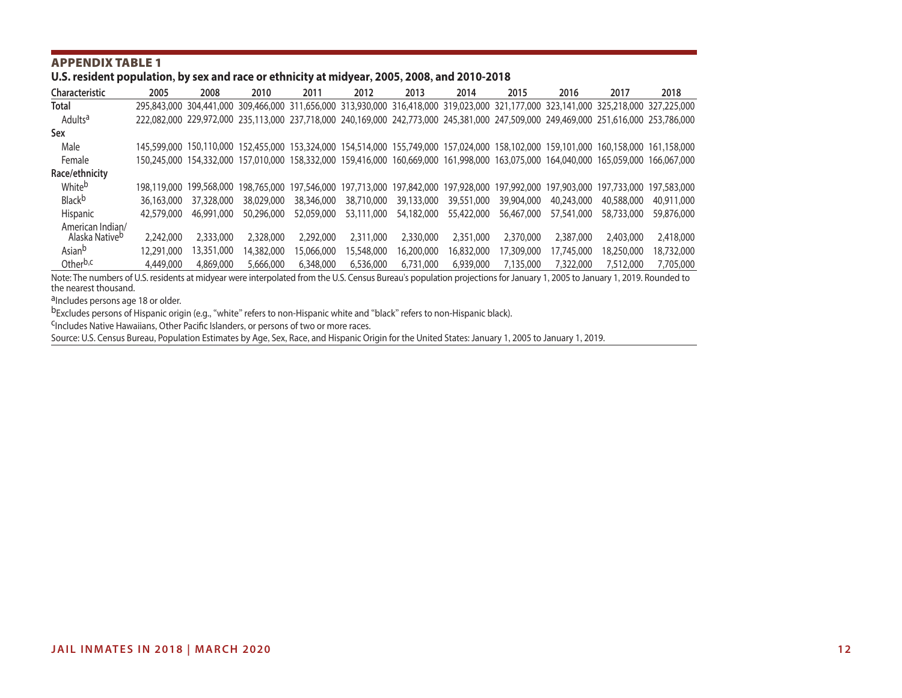# **U.S. resident population, by sex and race or ethnicity at midyear, 2005, 2008, and 2010-2018**

| Characteristic       | 2005        | 2008        | 2010       | 2011                                                                                                                                | 2012        | 2013        | 2014        | 2015        | 2016        | 2017        | 2018                    |
|----------------------|-------------|-------------|------------|-------------------------------------------------------------------------------------------------------------------------------------|-------------|-------------|-------------|-------------|-------------|-------------|-------------------------|
| <b>Total</b>         | 295,843,000 | 304,441,000 |            | 309,466,000 311,656,000 313,930,000 316,418,000 319,023,000 321,177,000 323,141,000 325,218,000                                     |             |             |             |             |             |             | 327,225,000             |
| Adultsa              |             |             |            | 222,082,000 229,972,000 235,113,000 237,718,000 240,169,000 242,773,000 245,381,000 247,509,000 249,469,000 251,616,000 253,786,000 |             |             |             |             |             |             |                         |
| Sex                  |             |             |            |                                                                                                                                     |             |             |             |             |             |             |                         |
| Male                 | 145,599,000 |             |            | 150,110,000 152,455,000 153,324,000 154,514,000 155,749,000 157,024,000 158,102,000 159,101,000                                     |             |             |             |             |             |             | 160,158,000 161,158,000 |
| Female               | 150.245.000 |             |            | 154,332,000 157,010,000 158,332,000 159,416,000 160,669,000 161,998,000 163,075,000 164,040,000 165,059,000                         |             |             |             |             |             |             | 166,067,000             |
| Race/ethnicity       |             |             |            |                                                                                                                                     |             |             |             |             |             |             |                         |
| Whiteb               | 198,119,000 | 199.568.000 |            | 198,765,000 197,546,000                                                                                                             | 197.713.000 | 197,842,000 | 197,928,000 | 197,992,000 | 197,903,000 | 197,733,000 | 197,583,000             |
| <b>Black</b> b       | 36,163,000  | 37,328,000  | 38,029,000 | 38,346,000                                                                                                                          | 38,710,000  | 39,133,000  | 39,551,000  | 39,904,000  | 40,243,000  | 40,588,000  | 40,911,000              |
| Hispanic             | 42,579,000  | 46,991,000  | 50,296,000 | 52,059,000                                                                                                                          | 53,111,000  | 54,182,000  | 55,422,000  | 56,467,000  | 57,541,000  | 58,733,000  | 59,876,000              |
| American Indian/     |             |             |            |                                                                                                                                     |             |             |             |             |             |             |                         |
| Alaska Nativeb       | 2.242,000   | 2,333,000   | 2,328,000  | 2,292,000                                                                                                                           | 2,311,000   | 2,330,000   | 2,351,000   | 2,370,000   | 2,387,000   | 2,403,000   | 2,418,000               |
| Asian <sup>b</sup>   | 12,291,000  | 13,351,000  | 14,382,000 | 15.066.000                                                                                                                          | 5,548,000   | 16,200,000  | 16,832,000  | 17,309,000  | 17.745.000  | 18,250,000  | 18,732,000              |
| Other <sup>b,c</sup> | 4,449,000   | 4,869,000   | 5,666,000  | 6,348,000                                                                                                                           | 6,536,000   | 6,731,000   | 6,939,000   | 7.135.000   | 7,322,000   | 7,512,000   | 7,705,000               |

Note: The numbers of U.S. residents at midyear were interpolated from the U.S. Census Bureau's population projections for January 1, 2005 to January 1, 2019. Rounded to the nearest thousand.

a<sub>Includes</sub> persons age 18 or older.

bExcludes persons of Hispanic origin (e.g., "white" refers to non-Hispanic white and "black" refers to non-Hispanic black).<br>CIncludes Native Hawaiians, Other Pacific Islanders, or persons of two or more races.

Source: U.S. Census Bureau, Population Estimates by Age, Sex, Race, and Hispanic Origin for the United States: January 1, 2005 to January 1, 2019.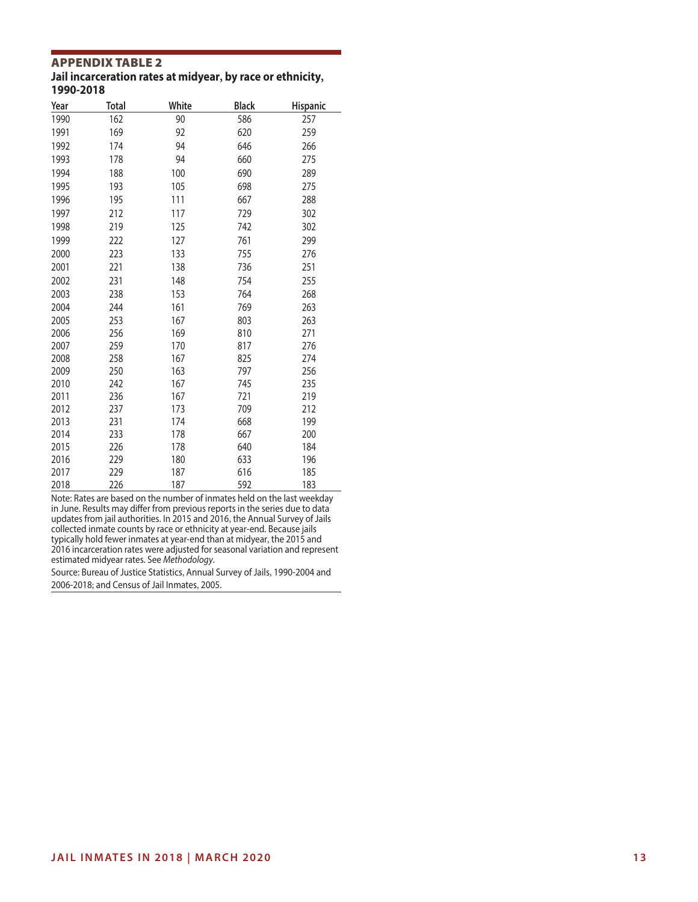**Jail incarceration rates at midyear, by race or ethnicity, 1990-2018**

| Year | Total | White | <b>Black</b> | Hispanic |
|------|-------|-------|--------------|----------|
| 1990 | 162   | 90    | 586          | 257      |
| 1991 | 169   | 92    | 620          | 259      |
| 1992 | 174   | 94    | 646          | 266      |
| 1993 | 178   | 94    | 660          | 275      |
| 1994 | 188   | 100   | 690          | 289      |
| 1995 | 193   | 105   | 698          | 275      |
| 1996 | 195   | 111   | 667          | 288      |
| 1997 | 212   | 117   | 729          | 302      |
| 1998 | 219   | 125   | 742          | 302      |
| 1999 | 222   | 127   | 761          | 299      |
| 2000 | 223   | 133   | 755          | 276      |
| 2001 | 221   | 138   | 736          | 251      |
| 2002 | 231   | 148   | 754          | 255      |
| 2003 | 238   | 153   | 764          | 268      |
| 2004 | 244   | 161   | 769          | 263      |
| 2005 | 253   | 167   | 803          | 263      |
| 2006 | 256   | 169   | 810          | 271      |
| 2007 | 259   | 170   | 817          | 276      |
| 2008 | 258   | 167   | 825          | 274      |
| 2009 | 250   | 163   | 797          | 256      |
| 2010 | 242   | 167   | 745          | 235      |
| 2011 | 236   | 167   | 721          | 219      |
| 2012 | 237   | 173   | 709          | 212      |
| 2013 | 231   | 174   | 668          | 199      |
| 2014 | 233   | 178   | 667          | 200      |
| 2015 | 226   | 178   | 640          | 184      |
| 2016 | 229   | 180   | 633          | 196      |
| 2017 | 229   | 187   | 616          | 185      |
| 2018 | 226   | 187   | 592          | 183      |

Note: Rates are based on the number of inmates held on the last weekday in June. Results may differ from previous reports in the series due to data updates from jail authorities. In 2015 and 2016, the Annual Survey of Jails collected inmate counts by race or ethnicity at year-end. Because jails typically hold fewer inmates at year-end than at midyear, the 2015 and 2016 incarceration rates were adjusted for seasonal variation and represent estimated midyear rates. See *Methodology*.

Source: Bureau of Justice Statistics, Annual Survey of Jails, 1990-2004 and 2006-2018; and Census of Jail Inmates, 2005.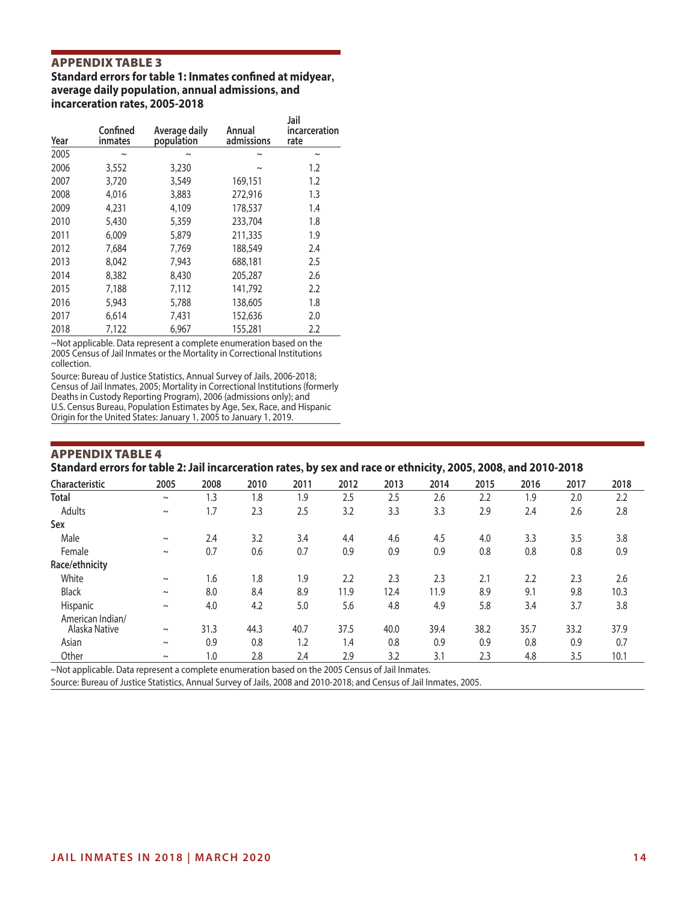**Standard errors for table 1: Inmates confined at midyear, average daily population, annual admissions, and incarceration rates, 2005-2018**

| Year | Confined<br><b>inmates</b> | Average daily<br>population | Annual<br>admissions  | Jail<br>incarceration<br>rate |
|------|----------------------------|-----------------------------|-----------------------|-------------------------------|
| 2005 | ົ                          |                             | $\tilde{}$            | $\tilde{\phantom{a}}$         |
| 2006 | 3,552                      | 3,230                       | $\tilde{\phantom{0}}$ | 1.2                           |
| 2007 | 3,720                      | 3,549                       | 169,151               | 1.2                           |
| 2008 | 4,016                      | 3,883                       | 272,916               | 1.3                           |
| 2009 | 4,231                      | 4,109                       | 178,537               | 1.4                           |
| 2010 | 5,430                      | 5,359                       | 233,704               | 1.8                           |
| 2011 | 6,009                      | 5,879                       | 211,335               | 1.9                           |
| 2012 | 7,684                      | 7,769                       | 188,549               | 2.4                           |
| 2013 | 8,042                      | 7,943                       | 688,181               | 2.5                           |
| 2014 | 8,382                      | 8,430                       | 205,287               | 2.6                           |
| 2015 | 7,188                      | 7,112                       | 141,792               | 2.2                           |
| 2016 | 5.943                      | 5,788                       | 138,605               | 1.8                           |
| 2017 | 6,614                      | 7,431                       | 152,636               | 2.0                           |
| 2018 | 7,122                      | 6,967                       | 155,281               | 2.2                           |

~Not applicable. Data represent a complete enumeration based on the 2005 Census of Jail Inmates or the Mortality in Correctional Institutions collection.

Source: Bureau of Justice Statistics, Annual Survey of Jails, 2006-2018; Census of Jail Inmates, 2005; Mortality in Correctional Institutions (formerly Deaths in Custody Reporting Program), 2006 (admissions only); and U.S. Census Bureau, Population Estimates by Age, Sex, Race, and Hispanic Origin for the United States: January 1, 2005 to January 1, 2019.

#### Appendix Table 4 **Standard errors for table 2: Jail incarceration rates, by sex and race or ethnicity, 2005, 2008, and 2010-2018**

|                                   |        |      |      | ., ., . |      |      | .,,  | ----, |      |      |      |
|-----------------------------------|--------|------|------|---------|------|------|------|-------|------|------|------|
| Characteristic                    | 2005   | 2008 | 2010 | 2011    | 2012 | 2013 | 2014 | 2015  | 2016 | 2017 | 2018 |
| <b>Total</b>                      | $\sim$ | 1.3  | 1.8  | 1.9     | 2.5  | 2.5  | 2.6  | 2.2   | 1.9  | 2.0  | 2.2  |
| Adults                            | $\sim$ | 1.7  | 2.3  | 2.5     | 3.2  | 3.3  | 3.3  | 2.9   | 2.4  | 2.6  | 2.8  |
| Sex                               |        |      |      |         |      |      |      |       |      |      |      |
| Male                              | $\sim$ | 2.4  | 3.2  | 3.4     | 4.4  | 4.6  | 4.5  | 4.0   | 3.3  | 3.5  | 3.8  |
| Female                            | $\sim$ | 0.7  | 0.6  | 0.7     | 0.9  | 0.9  | 0.9  | 0.8   | 0.8  | 0.8  | 0.9  |
| Race/ethnicity                    |        |      |      |         |      |      |      |       |      |      |      |
| White                             | $\sim$ | 1.6  | 1.8  | 1.9     | 2.2  | 2.3  | 2.3  | 2.1   | 2.2  | 2.3  | 2.6  |
| Black                             | $\sim$ | 8.0  | 8.4  | 8.9     | 11.9 | 12.4 | 11.9 | 8.9   | 9.1  | 9.8  | 10.3 |
| Hispanic                          | $\sim$ | 4.0  | 4.2  | 5.0     | 5.6  | 4.8  | 4.9  | 5.8   | 3.4  | 3.7  | 3.8  |
| American Indian/<br>Alaska Native | $\sim$ | 31.3 | 44.3 | 40.7    | 37.5 | 40.0 | 39.4 | 38.2  | 35.7 | 33.2 | 37.9 |
| Asian                             | $\sim$ | 0.9  | 0.8  | 1.2     | 1.4  | 0.8  | 0.9  | 0.9   | 0.8  | 0.9  | 0.7  |
| Other                             | $\sim$ | 1.0  | 2.8  | 2.4     | 2.9  | 3.2  | 3.1  | 2.3   | 4.8  | 3.5  | 10.1 |

~Not applicable. Data represent a complete enumeration based on the 2005 Census of Jail Inmates.

Source: Bureau of Justice Statistics, Annual Survey of Jails, 2008 and 2010-2018; and Census of Jail Inmates, 2005.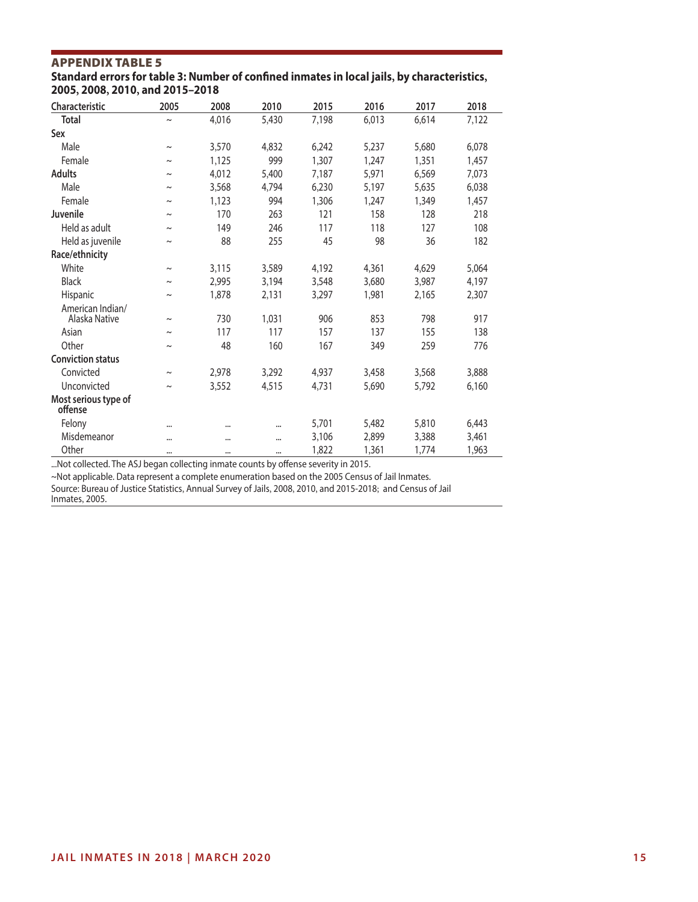**Standard errors for table 3: Number of confined inmates in local jails, by characteristics, 2005, 2008, 2010, and 2015–2018**

| Characteristic                    | 2005                  | 2008     | 2010     | 2015  | 2016  | 2017  | 2018  |
|-----------------------------------|-----------------------|----------|----------|-------|-------|-------|-------|
| <b>Total</b>                      | $\tilde{}$            | 4,016    | 5,430    | 7,198 | 6,013 | 6,614 | 7,122 |
| Sex                               |                       |          |          |       |       |       |       |
| Male                              | $\thicksim$           | 3,570    | 4,832    | 6,242 | 5,237 | 5,680 | 6,078 |
| Female                            | $\tilde{\phantom{a}}$ | 1,125    | 999      | 1,307 | 1,247 | 1,351 | 1,457 |
| <b>Adults</b>                     | $\tilde{}$            | 4,012    | 5,400    | 7,187 | 5,971 | 6,569 | 7,073 |
| Male                              | $\tilde{\phantom{a}}$ | 3,568    | 4,794    | 6,230 | 5,197 | 5,635 | 6,038 |
| Female                            | $\tilde{\phantom{a}}$ | 1,123    | 994      | 1,306 | 1,247 | 1,349 | 1,457 |
| Juvenile                          | $\thicksim$           | 170      | 263      | 121   | 158   | 128   | 218   |
| Held as adult                     | $\tilde{\phantom{a}}$ | 149      | 246      | 117   | 118   | 127   | 108   |
| Held as juvenile                  | $\tilde{}$            | 88       | 255      | 45    | 98    | 36    | 182   |
| Race/ethnicity                    |                       |          |          |       |       |       |       |
| White                             | $\tilde{\phantom{a}}$ | 3,115    | 3,589    | 4,192 | 4,361 | 4,629 | 5,064 |
| <b>Black</b>                      | $\thicksim$           | 2,995    | 3,194    | 3,548 | 3,680 | 3,987 | 4,197 |
| Hispanic                          | $\tilde{\phantom{a}}$ | 1,878    | 2,131    | 3,297 | 1,981 | 2,165 | 2,307 |
| American Indian/<br>Alaska Native | $\tilde{\phantom{a}}$ | 730      | 1,031    | 906   | 853   | 798   | 917   |
| Asian                             | $\tilde{\phantom{a}}$ | 117      | 117      | 157   | 137   | 155   | 138   |
| Other                             | $\tilde{\phantom{a}}$ | 48       | 160      | 167   | 349   | 259   | 776   |
| <b>Conviction status</b>          |                       |          |          |       |       |       |       |
| Convicted                         | $\sim$                | 2,978    | 3,292    | 4,937 | 3,458 | 3,568 | 3,888 |
| Unconvicted                       | $\tilde{\phantom{a}}$ | 3,552    | 4,515    | 4,731 | 5,690 | 5,792 | 6,160 |
| Most serious type of<br>offense   |                       |          |          |       |       |       |       |
| Felony                            |                       |          | $\cdots$ | 5,701 | 5,482 | 5,810 | 6,443 |
| Misdemeanor                       |                       |          | $\cdots$ | 3,106 | 2,899 | 3,388 | 3,461 |
| Other                             | $\cdots$              | $\cdots$ | $\cdots$ | 1,822 | 1,361 | 1,774 | 1,963 |

...Not collected. The ASJ began collecting inmate counts by offense severity in 2015.

~Not applicable. Data represent a complete enumeration based on the 2005 Census of Jail Inmates.

Source: Bureau of Justice Statistics, Annual Survey of Jails, 2008, 2010, and 2015-2018; and Census of Jail Inmates, 2005.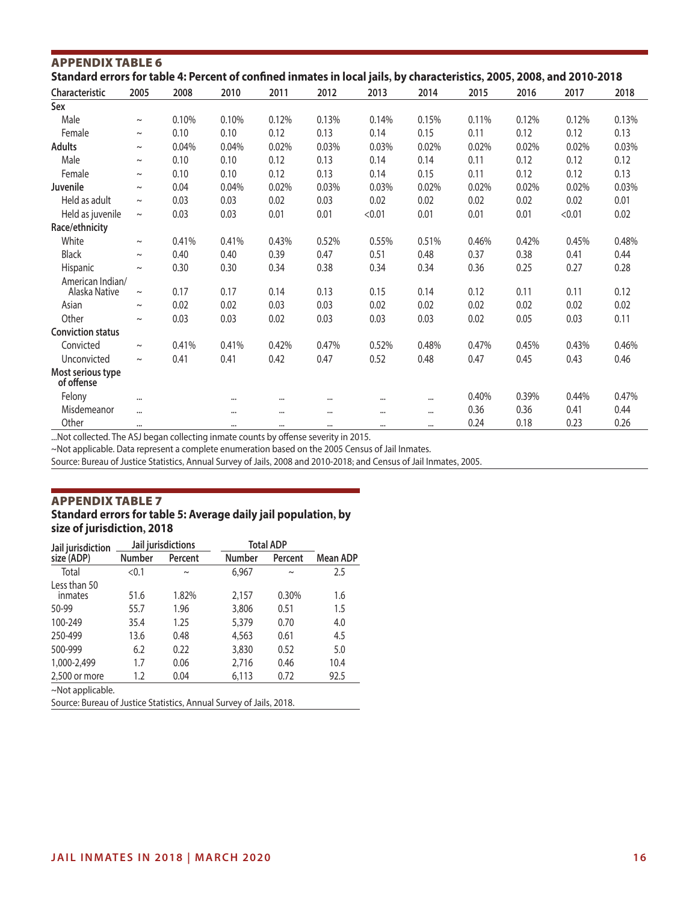| Standard errors for table 4: Percent of confined inmates in local jails, by characteristics, 2005, 2008, and 2010-2018 |             |       |          |          |       |          |          |       |       |        |       |
|------------------------------------------------------------------------------------------------------------------------|-------------|-------|----------|----------|-------|----------|----------|-------|-------|--------|-------|
| <b>Characteristic</b>                                                                                                  | 2005        | 2008  | 2010     | 2011     | 2012  | 2013     | 2014     | 2015  | 2016  | 2017   | 2018  |
| Sex                                                                                                                    |             |       |          |          |       |          |          |       |       |        |       |
| Male                                                                                                                   | $\thicksim$ | 0.10% | 0.10%    | 0.12%    | 0.13% | 0.14%    | 0.15%    | 0.11% | 0.12% | 0.12%  | 0.13% |
| Female                                                                                                                 | $\thicksim$ | 0.10  | 0.10     | 0.12     | 0.13  | 0.14     | 0.15     | 0.11  | 0.12  | 0.12   | 0.13  |
| <b>Adults</b>                                                                                                          | $\sim$      | 0.04% | 0.04%    | 0.02%    | 0.03% | 0.03%    | 0.02%    | 0.02% | 0.02% | 0.02%  | 0.03% |
| Male                                                                                                                   | $\sim$      | 0.10  | 0.10     | 0.12     | 0.13  | 0.14     | 0.14     | 0.11  | 0.12  | 0.12   | 0.12  |
| Female                                                                                                                 | $\thicksim$ | 0.10  | 0.10     | 0.12     | 0.13  | 0.14     | 0.15     | 0.11  | 0.12  | 0.12   | 0.13  |
| Juvenile                                                                                                               | $\sim$      | 0.04  | 0.04%    | 0.02%    | 0.03% | 0.03%    | 0.02%    | 0.02% | 0.02% | 0.02%  | 0.03% |
| Held as adult                                                                                                          | $\sim$      | 0.03  | 0.03     | 0.02     | 0.03  | 0.02     | 0.02     | 0.02  | 0.02  | 0.02   | 0.01  |
| Held as juvenile                                                                                                       | $\thicksim$ | 0.03  | 0.03     | 0.01     | 0.01  | < 0.01   | 0.01     | 0.01  | 0.01  | < 0.01 | 0.02  |
| Race/ethnicity                                                                                                         |             |       |          |          |       |          |          |       |       |        |       |
| White                                                                                                                  | $\sim$      | 0.41% | 0.41%    | 0.43%    | 0.52% | 0.55%    | 0.51%    | 0.46% | 0.42% | 0.45%  | 0.48% |
| Black                                                                                                                  | $\sim$      | 0.40  | 0.40     | 0.39     | 0.47  | 0.51     | 0.48     | 0.37  | 0.38  | 0.41   | 0.44  |
| Hispanic                                                                                                               | $\sim$      | 0.30  | 0.30     | 0.34     | 0.38  | 0.34     | 0.34     | 0.36  | 0.25  | 0.27   | 0.28  |
| American Indian/                                                                                                       |             |       |          |          |       |          |          |       |       |        |       |
| Alaska Native                                                                                                          | $\sim$      | 0.17  | 0.17     | 0.14     | 0.13  | 0.15     | 0.14     | 0.12  | 0.11  | 0.11   | 0.12  |
| Asian                                                                                                                  | $\sim$      | 0.02  | 0.02     | 0.03     | 0.03  | 0.02     | 0.02     | 0.02  | 0.02  | 0.02   | 0.02  |
| Other                                                                                                                  | $\sim$      | 0.03  | 0.03     | 0.02     | 0.03  | 0.03     | 0.03     | 0.02  | 0.05  | 0.03   | 0.11  |
| <b>Conviction status</b>                                                                                               |             |       |          |          |       |          |          |       |       |        |       |
| Convicted                                                                                                              | $\thicksim$ | 0.41% | 0.41%    | 0.42%    | 0.47% | 0.52%    | 0.48%    | 0.47% | 0.45% | 0.43%  | 0.46% |
| Unconvicted                                                                                                            | $\sim$      | 0.41  | 0.41     | 0.42     | 0.47  | 0.52     | 0.48     | 0.47  | 0.45  | 0.43   | 0.46  |
| Most serious type<br>of offense                                                                                        |             |       |          |          |       |          |          |       |       |        |       |
| Felony                                                                                                                 |             |       |          | $\cdots$ |       | $\cdots$ | $\cdots$ | 0.40% | 0.39% | 0.44%  | 0.47% |
| Misdemeanor                                                                                                            | $\cdots$    |       |          |          |       | $\cdots$ | $\cdots$ | 0.36  | 0.36  | 0.41   | 0.44  |
| Other                                                                                                                  |             |       | $\cdots$ | $\cdots$ |       | $\cdots$ | $\cdots$ | 0.24  | 0.18  | 0.23   | 0.26  |

...Not collected. The ASJ began collecting inmate counts by offense severity in 2015.

~Not applicable. Data represent a complete enumeration based on the 2005 Census of Jail Inmates.

Source: Bureau of Justice Statistics, Annual Survey of Jails, 2008 and 2010-2018; and Census of Jail Inmates, 2005.

#### Appendix Table 7 **Standard errors for table 5: Average daily jail population, by size of jurisdiction, 2018**

| Jail jurisdiction                                                   |        | Jail jurisdictions |        | <b>Total ADP</b> |          |  |
|---------------------------------------------------------------------|--------|--------------------|--------|------------------|----------|--|
| size (ADP)                                                          | Number | Percent            | Number | Percent          | Mean ADP |  |
| Total                                                               | < 0.1  | $\sim$             | 6,967  | $\sim$           | 2.5      |  |
| Less than 50<br>inmates                                             | 51.6   | 1.82%              | 2,157  | 0.30%            | 1.6      |  |
| 50-99                                                               | 55.7   | 1.96               | 3,806  | 0.51             | 1.5      |  |
| 100-249                                                             | 35.4   | 1.25               | 5,379  | 0.70             | 4.0      |  |
| 250-499                                                             | 13.6   | 0.48               | 4,563  | 0.61             | 4.5      |  |
| 500-999                                                             | 6.2    | 0.22               | 3,830  | 0.52             | 5.0      |  |
| 1,000-2,499                                                         | 1.7    | 0.06               | 2,716  | 0.46             | 10.4     |  |
| 2,500 or more                                                       | 1.2    | 0.04               | 6,113  | 0.72             | 92.5     |  |
| $\sim$ Not applicable.                                              |        |                    |        |                  |          |  |
| Source: Bureau of Justice Statistics, Annual Survey of Jails, 2018. |        |                    |        |                  |          |  |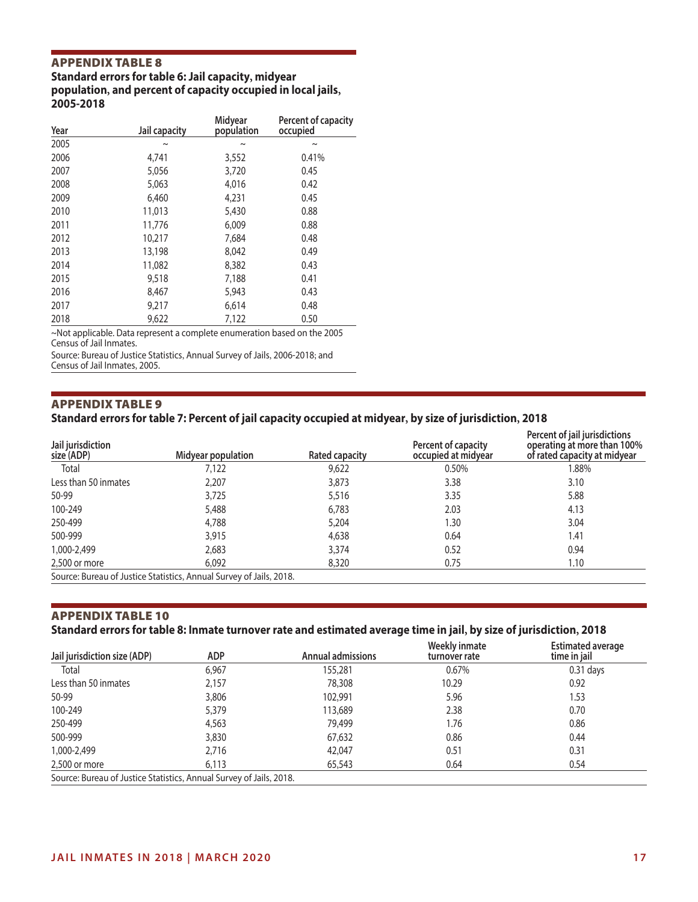#### **Standard errors for table 6: Jail capacity, midyear population, and percent of capacity occupied in local jails, 2005-2018**

| Year | Jail capacity | Midyear<br>population | Percent of capacity<br>occupied |
|------|---------------|-----------------------|---------------------------------|
| 2005 | $\sim$        | $\tilde{}$            | $\sim$                          |
| 2006 | 4,741         | 3,552                 | 0.41%                           |
| 2007 | 5,056         | 3,720                 | 0.45                            |
| 2008 | 5,063         | 4,016                 | 0.42                            |
| 2009 | 6,460         | 4,231                 | 0.45                            |
| 2010 | 11,013        | 5,430                 | 0.88                            |
| 2011 | 11,776        | 6,009                 | 0.88                            |
| 2012 | 10,217        | 7,684                 | 0.48                            |
| 2013 | 13,198        | 8,042                 | 0.49                            |
| 2014 | 11,082        | 8,382                 | 0.43                            |
| 2015 | 9,518         | 7,188                 | 0.41                            |
| 2016 | 8,467         | 5,943                 | 0.43                            |
| 2017 | 9,217         | 6,614                 | 0.48                            |
| 2018 | 9,622         | 7,122                 | 0.50                            |

~Not applicable. Data represent a complete enumeration based on the 2005 Census of Jail Inmates.

Source: Bureau of Justice Statistics, Annual Survey of Jails, 2006-2018; and Census of Jail Inmates, 2005.

#### Appendix Table 9

#### **Standard errors for table 7: Percent of jail capacity occupied at midyear, by size of jurisdiction, 2018**

| Jail jurisdiction<br>size (ADP) | Midyear population                                                  | Rated capacity | Percent of capacity<br>occupied at midyear | Percent of jail jurisdictions<br>operating at more than 100%<br>of rated capacity at midyear |
|---------------------------------|---------------------------------------------------------------------|----------------|--------------------------------------------|----------------------------------------------------------------------------------------------|
| Total                           | 7,122                                                               | 9,622          | 0.50%                                      | 1.88%                                                                                        |
| Less than 50 inmates            | 2,207                                                               | 3,873          | 3.38                                       | 3.10                                                                                         |
| 50-99                           | 3,725                                                               | 5,516          | 3.35                                       | 5.88                                                                                         |
| 100-249                         | 5,488                                                               | 6,783          | 2.03                                       | 4.13                                                                                         |
| 250-499                         | 4,788                                                               | 5,204          | 1.30                                       | 3.04                                                                                         |
| 500-999                         | 3,915                                                               | 4,638          | 0.64                                       | 1.41                                                                                         |
| 1,000-2,499                     | 2,683                                                               | 3,374          | 0.52                                       | 0.94                                                                                         |
| 2,500 or more                   | 6,092                                                               | 8,320          | 0.75                                       | 1.10                                                                                         |
|                                 | Source: Bureau of Justice Statistics, Annual Survey of Jails, 2018. |                |                                            |                                                                                              |

# Appendix Table 10

# **Standard errors for table 8: Inmate turnover rate and estimated average time in jail, by size of jurisdiction, 2018**

| Jail jurisdiction size (ADP)                                        | ADP   | <b>Annual admissions</b> | Weekly inmate<br>turnover rate | <b>Estimated average</b><br>time in jail |
|---------------------------------------------------------------------|-------|--------------------------|--------------------------------|------------------------------------------|
| Total                                                               | 6,967 | 155,281                  | 0.67%                          | $0.31$ days                              |
| Less than 50 inmates                                                | 2,157 | 78,308                   | 10.29                          | 0.92                                     |
| 50-99                                                               | 3,806 | 102,991                  | 5.96                           | 1.53                                     |
| 100-249                                                             | 5,379 | 113,689                  | 2.38                           | 0.70                                     |
| 250-499                                                             | 4,563 | 79,499                   | 1.76                           | 0.86                                     |
| 500-999                                                             | 3,830 | 67,632                   | 0.86                           | 0.44                                     |
| 1,000-2,499                                                         | 2.716 | 42,047                   | 0.51                           | 0.31                                     |
| 2,500 or more                                                       | 6,113 | 65,543                   | 0.64                           | 0.54                                     |
| Source: Bureau of Justice Statistics, Annual Survey of Jails, 2018. |       |                          |                                |                                          |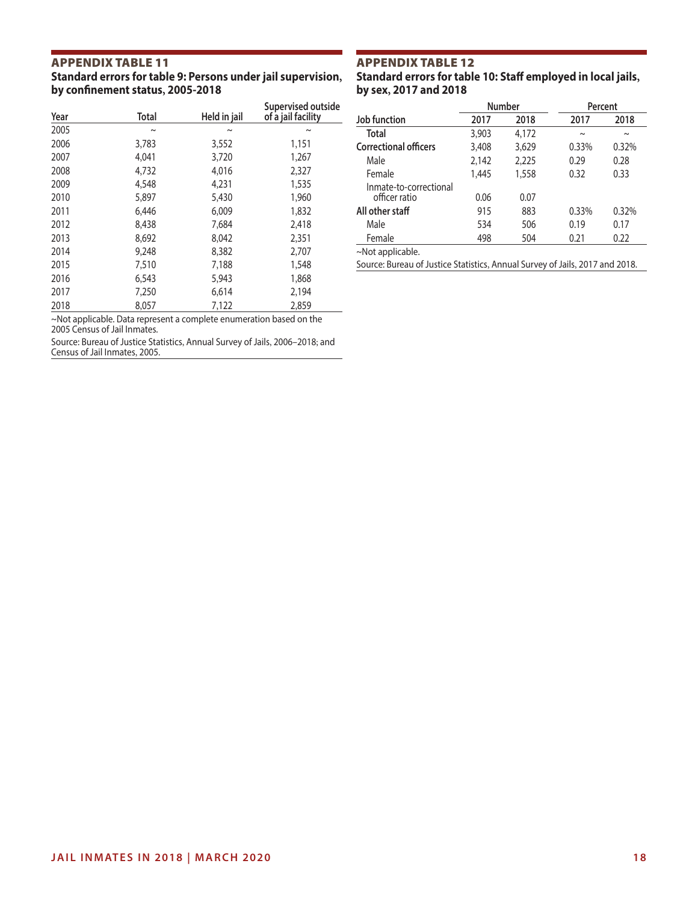#### **Standard errors for table 9: Persons under jail supervision, by confinement status, 2005-2018**

| Year | <b>Total</b>          | Held in jail          | Supervised outside<br>of a jail facility |
|------|-----------------------|-----------------------|------------------------------------------|
| 2005 | $\tilde{\phantom{a}}$ | $\tilde{\phantom{a}}$ | $\tilde{}$                               |
| 2006 | 3,783                 | 3,552                 | 1,151                                    |
| 2007 | 4,041                 | 3,720                 | 1,267                                    |
| 2008 | 4,732                 | 4,016                 | 2,327                                    |
| 2009 | 4,548                 | 4,231                 | 1,535                                    |
| 2010 | 5,897                 | 5,430                 | 1,960                                    |
| 2011 | 6,446                 | 6,009                 | 1,832                                    |
| 2012 | 8,438                 | 7,684                 | 2,418                                    |
| 2013 | 8,692                 | 8,042                 | 2,351                                    |
| 2014 | 9,248                 | 8,382                 | 2,707                                    |
| 2015 | 7,510                 | 7,188                 | 1,548                                    |
| 2016 | 6,543                 | 5,943                 | 1,868                                    |
| 2017 | 7,250                 | 6,614                 | 2,194                                    |
| 2018 | 8,057                 | 7.122                 | 2,859                                    |

~Not applicable. Data represent a complete enumeration based on the 2005 Census of Jail Inmates.

Source: Bureau of Justice Statistics, Annual Survey of Jails, 2006–2018; and Census of Jail Inmates, 2005.

# Appendix Table 12

**Standard errors for table 10: Staff employed in local jails, by sex, 2017 and 2018**

|                                         |       | <b>Number</b> | Percent |        |  |
|-----------------------------------------|-------|---------------|---------|--------|--|
| Job function                            | 2017  | 2018          | 2017    | 2018   |  |
| <b>Total</b>                            | 3,903 | 4,172         | $\sim$  | $\sim$ |  |
| <b>Correctional officers</b>            | 3,408 | 3,629         | 0.33%   | 0.32%  |  |
| Male                                    | 2,142 | 2,225         | 0.29    | 0.28   |  |
| Female                                  | 1,445 | 1,558         | 0.32    | 0.33   |  |
| Inmate-to-correctional<br>officer ratio | 0.06  | 0.07          |         |        |  |
| All other staff                         | 915   | 883           | 0.33%   | 0.32%  |  |
| Male                                    | 534   | 506           | 0.19    | 0.17   |  |
| Female                                  | 498   | 504           | 0.21    | 0.22   |  |
| $\sim$ Not applicable.                  |       |               |         |        |  |

Source: Bureau of Justice Statistics, Annual Survey of Jails, 2017 and 2018.